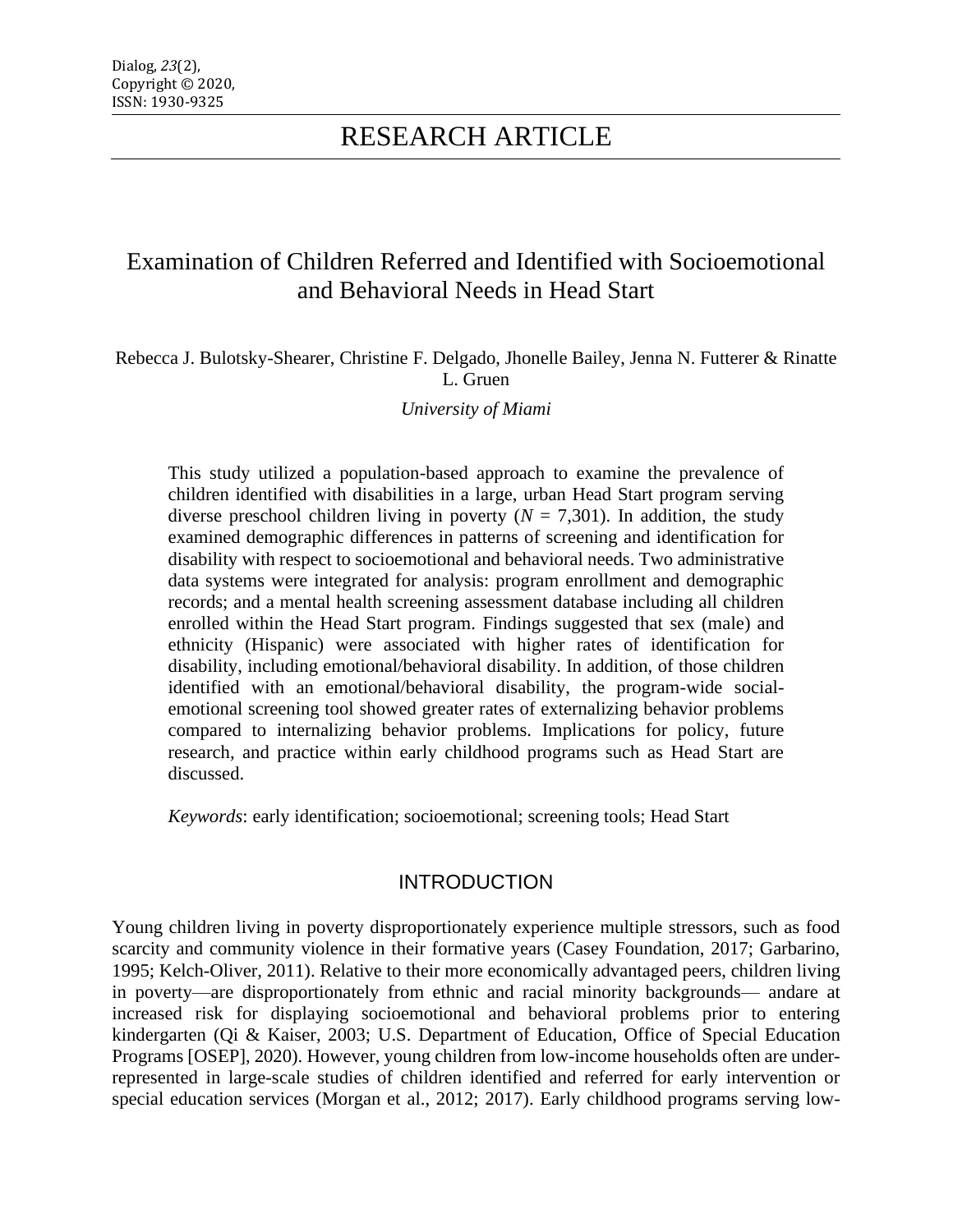# Examination of Children Referred and Identified with Socioemotional and Behavioral Needs in Head Start

#### Rebecca J. Bulotsky-Shearer, Christine F. Delgado, Jhonelle Bailey, Jenna N. Futterer & Rinatte L. Gruen

*University of Miami*

This study utilized a population-based approach to examine the prevalence of children identified with disabilities in a large, urban Head Start program serving diverse preschool children living in poverty  $(N = 7,301)$ . In addition, the study examined demographic differences in patterns of screening and identification for disability with respect to socioemotional and behavioral needs. Two administrative data systems were integrated for analysis: program enrollment and demographic records; and a mental health screening assessment database including all children enrolled within the Head Start program. Findings suggested that sex (male) and ethnicity (Hispanic) were associated with higher rates of identification for disability, including emotional/behavioral disability. In addition, of those children identified with an emotional/behavioral disability, the program-wide socialemotional screening tool showed greater rates of externalizing behavior problems compared to internalizing behavior problems. Implications for policy, future research, and practice within early childhood programs such as Head Start are discussed.

*Keywords*: early identification; socioemotional; screening tools; Head Start

### **INTRODUCTION**

Young children living in poverty disproportionately experience multiple stressors, such as food scarcity and community violence in their formative years (Casey Foundation, 2017; Garbarino, 1995; Kelch-Oliver, 2011). Relative to their more economically advantaged peers, children living in poverty—are disproportionately from ethnic and racial minority backgrounds— andare at increased risk for displaying socioemotional and behavioral problems prior to entering kindergarten (Qi & Kaiser, 2003; U.S. Department of Education, Office of Special Education Programs [OSEP], 2020). However, young children from low-income households often are underrepresented in large-scale studies of children identified and referred for early intervention or special education services (Morgan et al., 2012; 2017). Early childhood programs serving low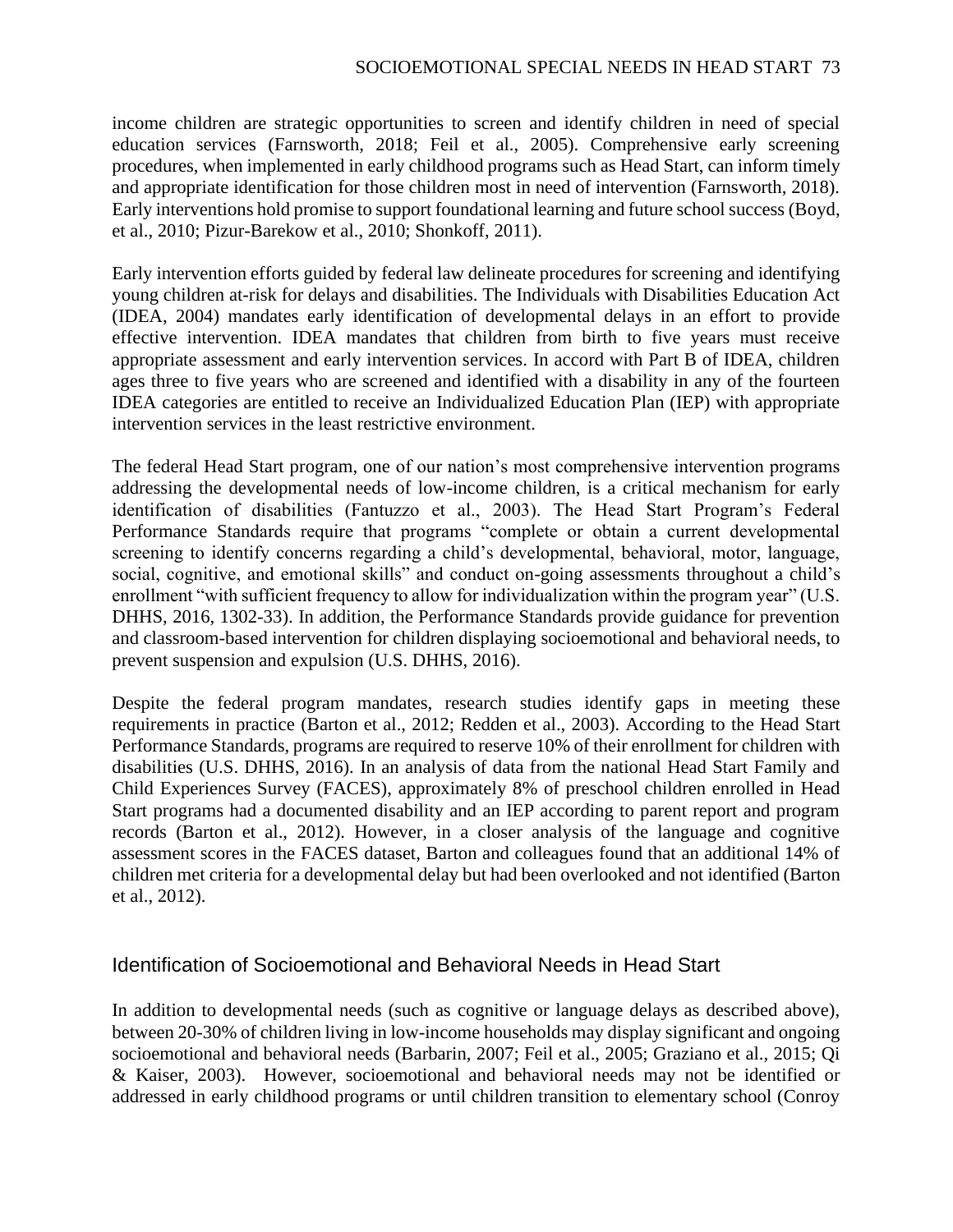income children are strategic opportunities to screen and identify children in need of special education services (Farnsworth, 2018; Feil et al., 2005). Comprehensive early screening procedures, when implemented in early childhood programs such as Head Start, can inform timely and appropriate identification for those children most in need of intervention (Farnsworth, 2018). Early interventions hold promise to support foundational learning and future school success (Boyd, et al., 2010; Pizur-Barekow et al., 2010; Shonkoff, 2011).

Early intervention efforts guided by federal law delineate procedures for screening and identifying young children at-risk for delays and disabilities. The Individuals with Disabilities Education Act (IDEA, 2004) mandates early identification of developmental delays in an effort to provide effective intervention. IDEA mandates that children from birth to five years must receive appropriate assessment and early intervention services. In accord with Part B of IDEA, children ages three to five years who are screened and identified with a disability in any of the fourteen IDEA categories are entitled to receive an Individualized Education Plan (IEP) with appropriate intervention services in the least restrictive environment.

The federal Head Start program, one of our nation's most comprehensive intervention programs addressing the developmental needs of low-income children, is a critical mechanism for early identification of disabilities (Fantuzzo et al., 2003). The Head Start Program's Federal Performance Standards require that programs "complete or obtain a current developmental screening to identify concerns regarding a child's developmental, behavioral, motor, language, social, cognitive, and emotional skills" and conduct on-going assessments throughout a child's enrollment "with sufficient frequency to allow for individualization within the program year" (U.S. DHHS, 2016, 1302-33). In addition, the Performance Standards provide guidance for prevention and classroom-based intervention for children displaying socioemotional and behavioral needs, to prevent suspension and expulsion (U.S. DHHS, 2016).

Despite the federal program mandates, research studies identify gaps in meeting these requirements in practice (Barton et al., 2012; Redden et al., 2003). According to the Head Start Performance Standards, programs are required to reserve 10% of their enrollment for children with disabilities (U.S. DHHS, 2016). In an analysis of data from the national Head Start Family and Child Experiences Survey (FACES), approximately 8% of preschool children enrolled in Head Start programs had a documented disability and an IEP according to parent report and program records (Barton et al., 2012). However, in a closer analysis of the language and cognitive assessment scores in the FACES dataset, Barton and colleagues found that an additional 14% of children met criteria for a developmental delay but had been overlooked and not identified (Barton et al., 2012).

### Identification of Socioemotional and Behavioral Needs in Head Start

In addition to developmental needs (such as cognitive or language delays as described above), between 20-30% of children living in low-income households may display significant and ongoing socioemotional and behavioral needs (Barbarin, 2007; Feil et al., 2005; Graziano et al., 2015; Qi & Kaiser, 2003). However, socioemotional and behavioral needs may not be identified or addressed in early childhood programs or until children transition to elementary school (Conroy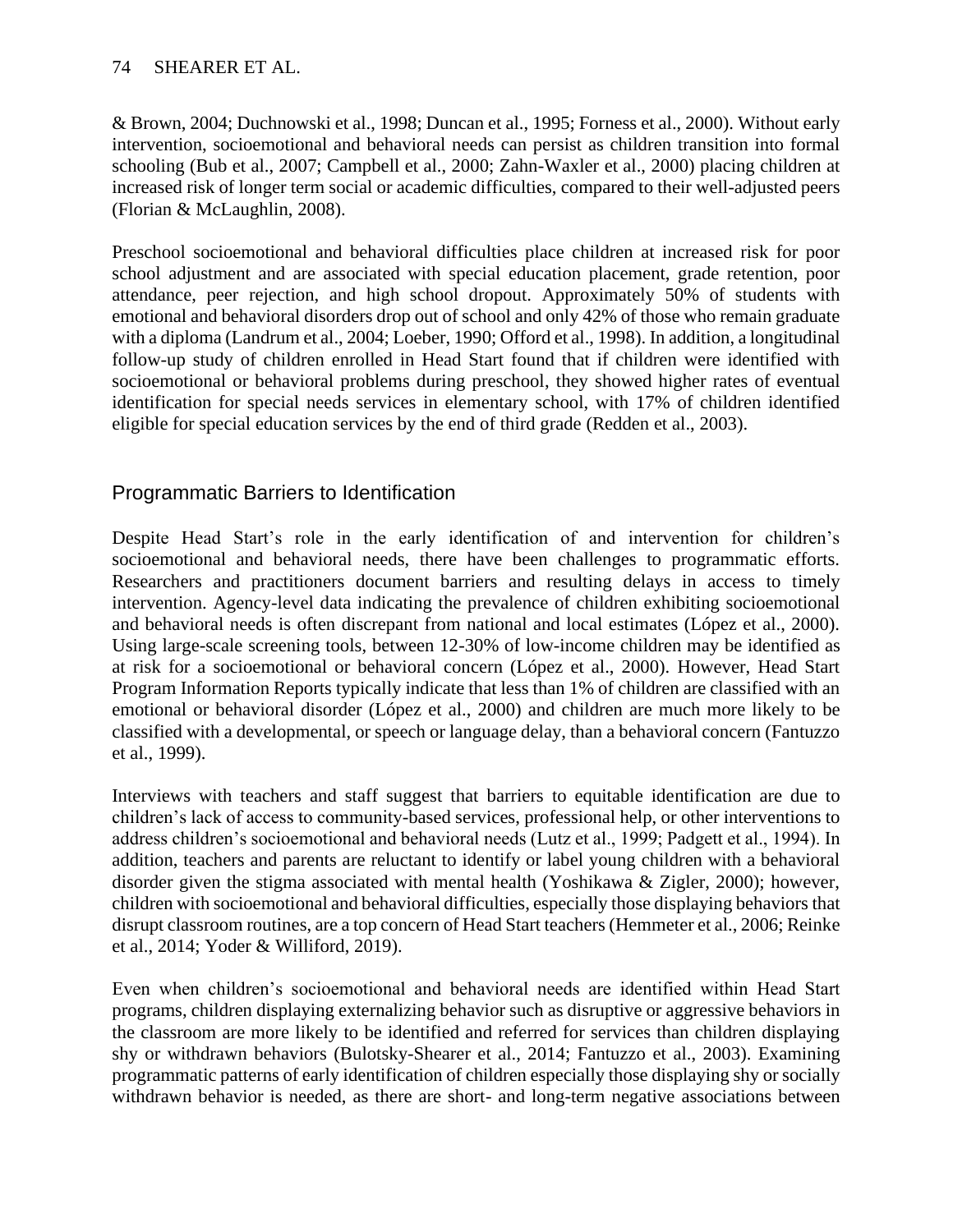& Brown, 2004; Duchnowski et al., 1998; Duncan et al., 1995; Forness et al., 2000). Without early intervention, socioemotional and behavioral needs can persist as children transition into formal schooling (Bub et al., 2007; Campbell et al., 2000; Zahn-Waxler et al., 2000) placing children at increased risk of longer term social or academic difficulties, compared to their well-adjusted peers (Florian & McLaughlin, 2008).

Preschool socioemotional and behavioral difficulties place children at increased risk for poor school adjustment and are associated with special education placement, grade retention, poor attendance, peer rejection, and high school dropout. Approximately 50% of students with emotional and behavioral disorders drop out of school and only 42% of those who remain graduate with a diploma (Landrum et al., 2004; Loeber, 1990; Offord et al., 1998). In addition, a longitudinal follow-up study of children enrolled in Head Start found that if children were identified with socioemotional or behavioral problems during preschool, they showed higher rates of eventual identification for special needs services in elementary school, with 17% of children identified eligible for special education services by the end of third grade (Redden et al., 2003).

## Programmatic Barriers to Identification

Despite Head Start's role in the early identification of and intervention for children's socioemotional and behavioral needs, there have been challenges to programmatic efforts. Researchers and practitioners document barriers and resulting delays in access to timely intervention. Agency-level data indicating the prevalence of children exhibiting socioemotional and behavioral needs is often discrepant from national and local estimates (López et al., 2000). Using large-scale screening tools, between 12-30% of low-income children may be identified as at risk for a socioemotional or behavioral concern (López et al., 2000). However, Head Start Program Information Reports typically indicate that less than 1% of children are classified with an emotional or behavioral disorder (López et al., 2000) and children are much more likely to be classified with a developmental, or speech or language delay, than a behavioral concern (Fantuzzo et al., 1999).

Interviews with teachers and staff suggest that barriers to equitable identification are due to children's lack of access to community-based services, professional help, or other interventions to address children's socioemotional and behavioral needs (Lutz et al., 1999; Padgett et al., 1994). In addition, teachers and parents are reluctant to identify or label young children with a behavioral disorder given the stigma associated with mental health (Yoshikawa & Zigler, 2000); however, children with socioemotional and behavioral difficulties, especially those displaying behaviors that disrupt classroom routines, are a top concern of Head Start teachers (Hemmeter et al., 2006; Reinke et al., 2014; Yoder & Williford, 2019).

Even when children's socioemotional and behavioral needs are identified within Head Start programs, children displaying externalizing behavior such as disruptive or aggressive behaviors in the classroom are more likely to be identified and referred for services than children displaying shy or withdrawn behaviors (Bulotsky-Shearer et al., 2014; Fantuzzo et al., 2003). Examining programmatic patterns of early identification of children especially those displaying shy or socially withdrawn behavior is needed, as there are short- and long-term negative associations between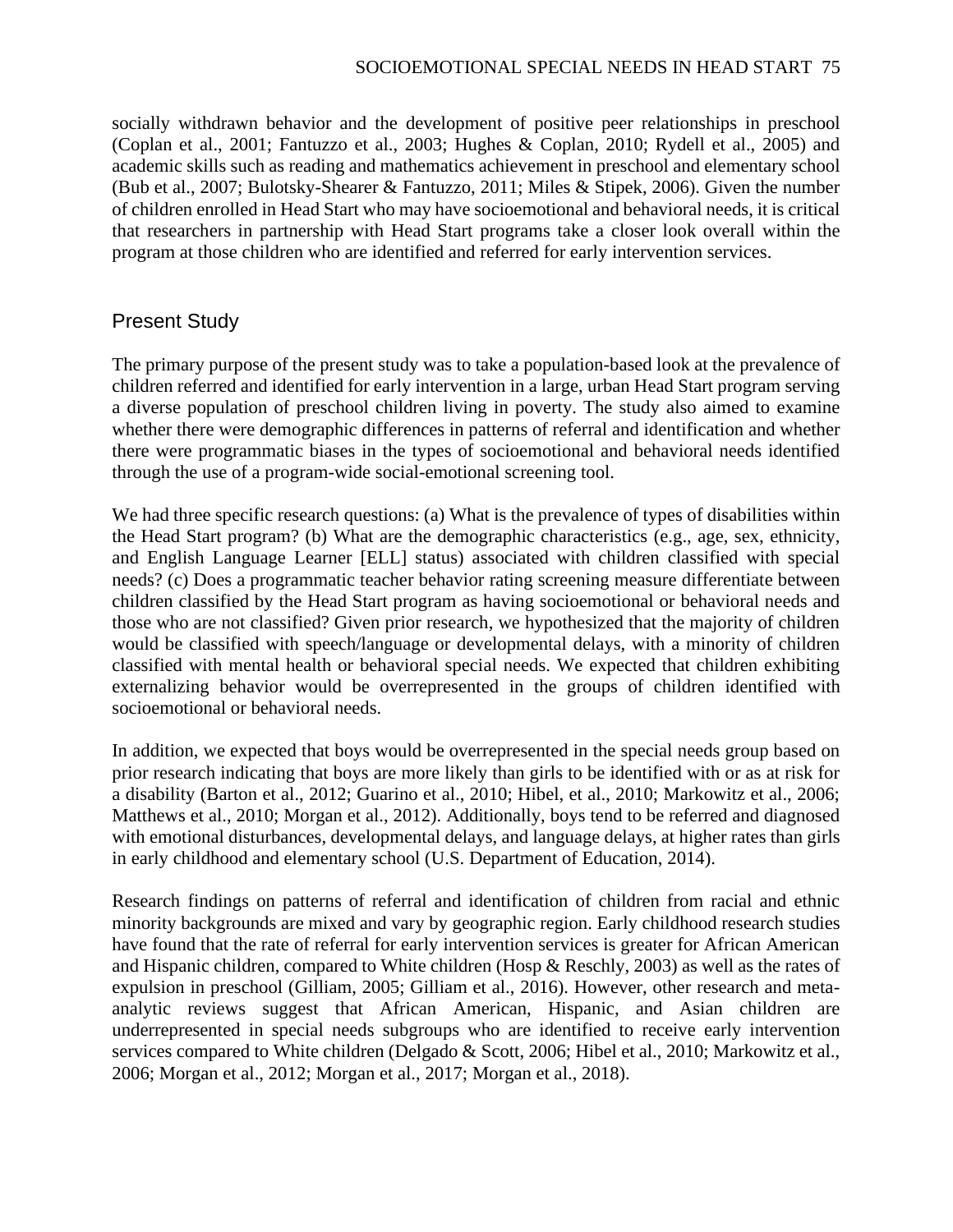socially withdrawn behavior and the development of positive peer relationships in preschool (Coplan et al., 2001; Fantuzzo et al., 2003; Hughes & Coplan, 2010; Rydell et al., 2005) and academic skills such as reading and mathematics achievement in preschool and elementary school (Bub et al., 2007; Bulotsky-Shearer & Fantuzzo, 2011; Miles & Stipek, 2006). Given the number of children enrolled in Head Start who may have socioemotional and behavioral needs, it is critical that researchers in partnership with Head Start programs take a closer look overall within the program at those children who are identified and referred for early intervention services.

### Present Study

The primary purpose of the present study was to take a population-based look at the prevalence of children referred and identified for early intervention in a large, urban Head Start program serving a diverse population of preschool children living in poverty. The study also aimed to examine whether there were demographic differences in patterns of referral and identification and whether there were programmatic biases in the types of socioemotional and behavioral needs identified through the use of a program-wide social-emotional screening tool.

We had three specific research questions: (a) What is the prevalence of types of disabilities within the Head Start program? (b) What are the demographic characteristics (e.g., age, sex, ethnicity, and English Language Learner [ELL] status) associated with children classified with special needs? (c) Does a programmatic teacher behavior rating screening measure differentiate between children classified by the Head Start program as having socioemotional or behavioral needs and those who are not classified? Given prior research, we hypothesized that the majority of children would be classified with speech/language or developmental delays, with a minority of children classified with mental health or behavioral special needs. We expected that children exhibiting externalizing behavior would be overrepresented in the groups of children identified with socioemotional or behavioral needs.

In addition, we expected that boys would be overrepresented in the special needs group based on prior research indicating that boys are more likely than girls to be identified with or as at risk for a disability (Barton et al., 2012; Guarino et al., 2010; Hibel, et al., 2010; Markowitz et al., 2006; Matthews et al., 2010; Morgan et al., 2012). Additionally, boys tend to be referred and diagnosed with emotional disturbances, developmental delays, and language delays, at higher rates than girls in early childhood and elementary school (U.S. Department of Education, 2014).

Research findings on patterns of referral and identification of children from racial and ethnic minority backgrounds are mixed and vary by geographic region. Early childhood research studies have found that the rate of referral for early intervention services is greater for African American and Hispanic children, compared to White children (Hosp & Reschly, 2003) as well as the rates of expulsion in preschool (Gilliam, 2005; Gilliam et al., 2016). However, other research and metaanalytic reviews suggest that African American, Hispanic, and Asian children are underrepresented in special needs subgroups who are identified to receive early intervention services compared to White children (Delgado & Scott, 2006; Hibel et al., 2010; Markowitz et al., 2006; Morgan et al., 2012; Morgan et al., 2017; Morgan et al., 2018).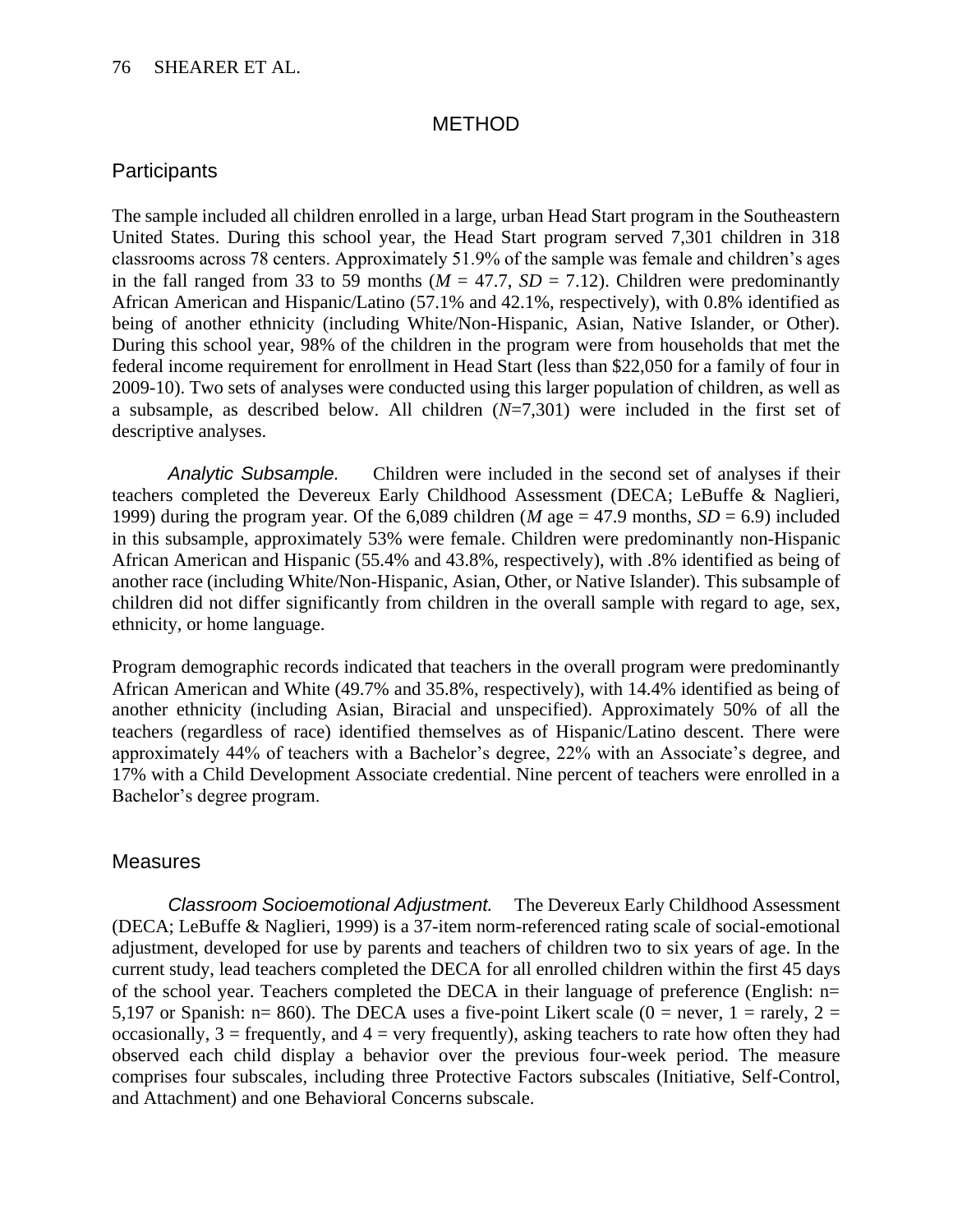#### **METHOD**

#### **Participants**

The sample included all children enrolled in a large, urban Head Start program in the Southeastern United States. During this school year, the Head Start program served 7,301 children in 318 classrooms across 78 centers. Approximately 51.9% of the sample was female and children's ages in the fall ranged from 33 to 59 months ( $M = 47.7$ ,  $SD = 7.12$ ). Children were predominantly African American and Hispanic/Latino (57.1% and 42.1%, respectively), with 0.8% identified as being of another ethnicity (including White/Non-Hispanic, Asian, Native Islander, or Other). During this school year, 98% of the children in the program were from households that met the federal income requirement for enrollment in Head Start (less than \$22,050 for a family of four in 2009-10). Two sets of analyses were conducted using this larger population of children, as well as a subsample, as described below. All children (*N*=7,301) were included in the first set of descriptive analyses.

*Analytic Subsample.* Children were included in the second set of analyses if their teachers completed the Devereux Early Childhood Assessment (DECA; LeBuffe & Naglieri, 1999) during the program year. Of the  $6,089$  children (*M* age = 47.9 months, *SD* = 6.9) included in this subsample, approximately 53% were female. Children were predominantly non-Hispanic African American and Hispanic (55.4% and 43.8%, respectively), with .8% identified as being of another race (including White/Non-Hispanic, Asian, Other, or Native Islander). This subsample of children did not differ significantly from children in the overall sample with regard to age, sex, ethnicity, or home language.

Program demographic records indicated that teachers in the overall program were predominantly African American and White (49.7% and 35.8%, respectively), with 14.4% identified as being of another ethnicity (including Asian, Biracial and unspecified). Approximately 50% of all the teachers (regardless of race) identified themselves as of Hispanic/Latino descent. There were approximately 44% of teachers with a Bachelor's degree, 22% with an Associate's degree, and 17% with a Child Development Associate credential. Nine percent of teachers were enrolled in a Bachelor's degree program.

#### **Measures**

*Classroom Socioemotional Adjustment.* The Devereux Early Childhood Assessment (DECA; LeBuffe & Naglieri, 1999) is a 37-item norm-referenced rating scale of social-emotional adjustment, developed for use by parents and teachers of children two to six years of age. In the current study, lead teachers completed the DECA for all enrolled children within the first 45 days of the school year. Teachers completed the DECA in their language of preference (English: n= 5,197 or Spanish:  $n= 860$ ). The DECA uses a five-point Likert scale (0 = never, 1 = rarely, 2 = occasionally,  $3 =$  frequently, and  $4 =$  very frequently), asking teachers to rate how often they had observed each child display a behavior over the previous four-week period. The measure comprises four subscales, including three Protective Factors subscales (Initiative, Self-Control, and Attachment) and one Behavioral Concerns subscale.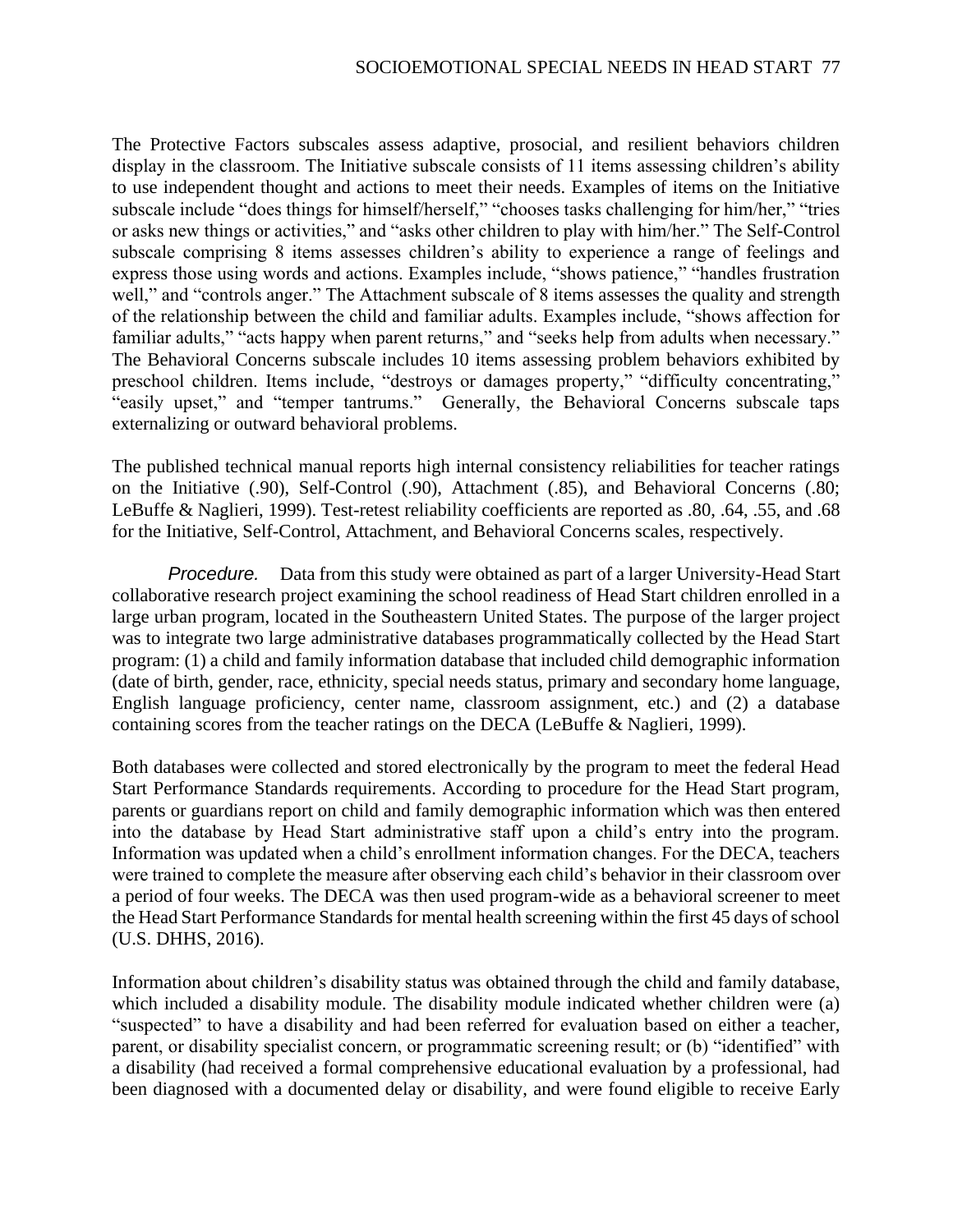The Protective Factors subscales assess adaptive, prosocial, and resilient behaviors children display in the classroom. The Initiative subscale consists of 11 items assessing children's ability to use independent thought and actions to meet their needs. Examples of items on the Initiative subscale include "does things for himself/herself," "chooses tasks challenging for him/her," "tries or asks new things or activities," and "asks other children to play with him/her." The Self-Control subscale comprising 8 items assesses children's ability to experience a range of feelings and express those using words and actions. Examples include, "shows patience," "handles frustration well," and "controls anger." The Attachment subscale of 8 items assesses the quality and strength of the relationship between the child and familiar adults. Examples include, "shows affection for familiar adults," "acts happy when parent returns," and "seeks help from adults when necessary." The Behavioral Concerns subscale includes 10 items assessing problem behaviors exhibited by preschool children. Items include, "destroys or damages property," "difficulty concentrating," "easily upset," and "temper tantrums." Generally, the Behavioral Concerns subscale taps externalizing or outward behavioral problems.

The published technical manual reports high internal consistency reliabilities for teacher ratings on the Initiative (.90), Self-Control (.90), Attachment (.85), and Behavioral Concerns (.80; LeBuffe & Naglieri, 1999). Test-retest reliability coefficients are reported as .80, .64, .55, and .68 for the Initiative, Self-Control, Attachment, and Behavioral Concerns scales, respectively.

*Procedure.* Data from this study were obtained as part of a larger University-Head Start collaborative research project examining the school readiness of Head Start children enrolled in a large urban program, located in the Southeastern United States. The purpose of the larger project was to integrate two large administrative databases programmatically collected by the Head Start program: (1) a child and family information database that included child demographic information (date of birth, gender, race, ethnicity, special needs status, primary and secondary home language, English language proficiency, center name, classroom assignment, etc.) and (2) a database containing scores from the teacher ratings on the DECA (LeBuffe & Naglieri, 1999).

Both databases were collected and stored electronically by the program to meet the federal Head Start Performance Standards requirements. According to procedure for the Head Start program, parents or guardians report on child and family demographic information which was then entered into the database by Head Start administrative staff upon a child's entry into the program. Information was updated when a child's enrollment information changes. For the DECA, teachers were trained to complete the measure after observing each child's behavior in their classroom over a period of four weeks. The DECA was then used program-wide as a behavioral screener to meet the Head Start Performance Standards for mental health screening within the first 45 days of school (U.S. DHHS, 2016).

Information about children's disability status was obtained through the child and family database, which included a disability module. The disability module indicated whether children were (a) "suspected" to have a disability and had been referred for evaluation based on either a teacher, parent, or disability specialist concern, or programmatic screening result; or (b) "identified" with a disability (had received a formal comprehensive educational evaluation by a professional, had been diagnosed with a documented delay or disability, and were found eligible to receive Early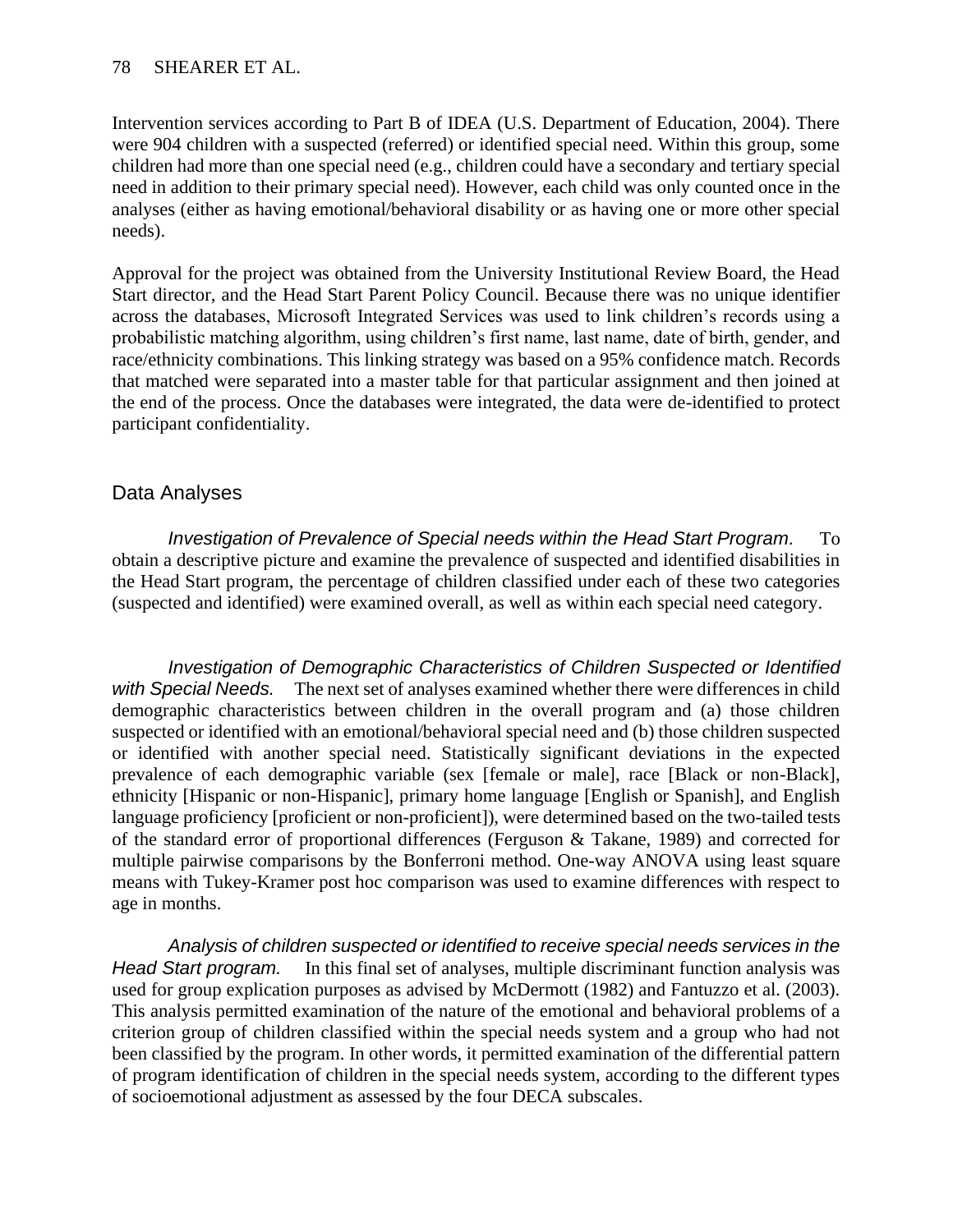Intervention services according to Part B of IDEA (U.S. Department of Education, 2004). There were 904 children with a suspected (referred) or identified special need. Within this group, some children had more than one special need (e.g., children could have a secondary and tertiary special need in addition to their primary special need). However, each child was only counted once in the analyses (either as having emotional/behavioral disability or as having one or more other special needs).

Approval for the project was obtained from the University Institutional Review Board, the Head Start director, and the Head Start Parent Policy Council. Because there was no unique identifier across the databases, Microsoft Integrated Services was used to link children's records using a probabilistic matching algorithm, using children's first name, last name, date of birth, gender, and race/ethnicity combinations. This linking strategy was based on a 95% confidence match. Records that matched were separated into a master table for that particular assignment and then joined at the end of the process. Once the databases were integrated, the data were de-identified to protect participant confidentiality.

#### Data Analyses

*Investigation of Prevalence of Special needs within the Head Start Program.* To obtain a descriptive picture and examine the prevalence of suspected and identified disabilities in the Head Start program, the percentage of children classified under each of these two categories (suspected and identified) were examined overall, as well as within each special need category.

*Investigation of Demographic Characteristics of Children Suspected or Identified with Special Needs.* The next set of analyses examined whether there were differences in child demographic characteristics between children in the overall program and (a) those children suspected or identified with an emotional/behavioral special need and (b) those children suspected or identified with another special need. Statistically significant deviations in the expected prevalence of each demographic variable (sex [female or male], race [Black or non-Black], ethnicity [Hispanic or non-Hispanic], primary home language [English or Spanish], and English language proficiency [proficient or non-proficient]), were determined based on the two-tailed tests of the standard error of proportional differences (Ferguson & Takane, 1989) and corrected for multiple pairwise comparisons by the Bonferroni method. One-way ANOVA using least square means with Tukey-Kramer post hoc comparison was used to examine differences with respect to age in months.

*Analysis of children suspected or identified to receive special needs services in the Head Start program.* In this final set of analyses, multiple discriminant function analysis was used for group explication purposes as advised by McDermott (1982) and Fantuzzo et al. (2003). This analysis permitted examination of the nature of the emotional and behavioral problems of a criterion group of children classified within the special needs system and a group who had not been classified by the program. In other words, it permitted examination of the differential pattern of program identification of children in the special needs system, according to the different types of socioemotional adjustment as assessed by the four DECA subscales.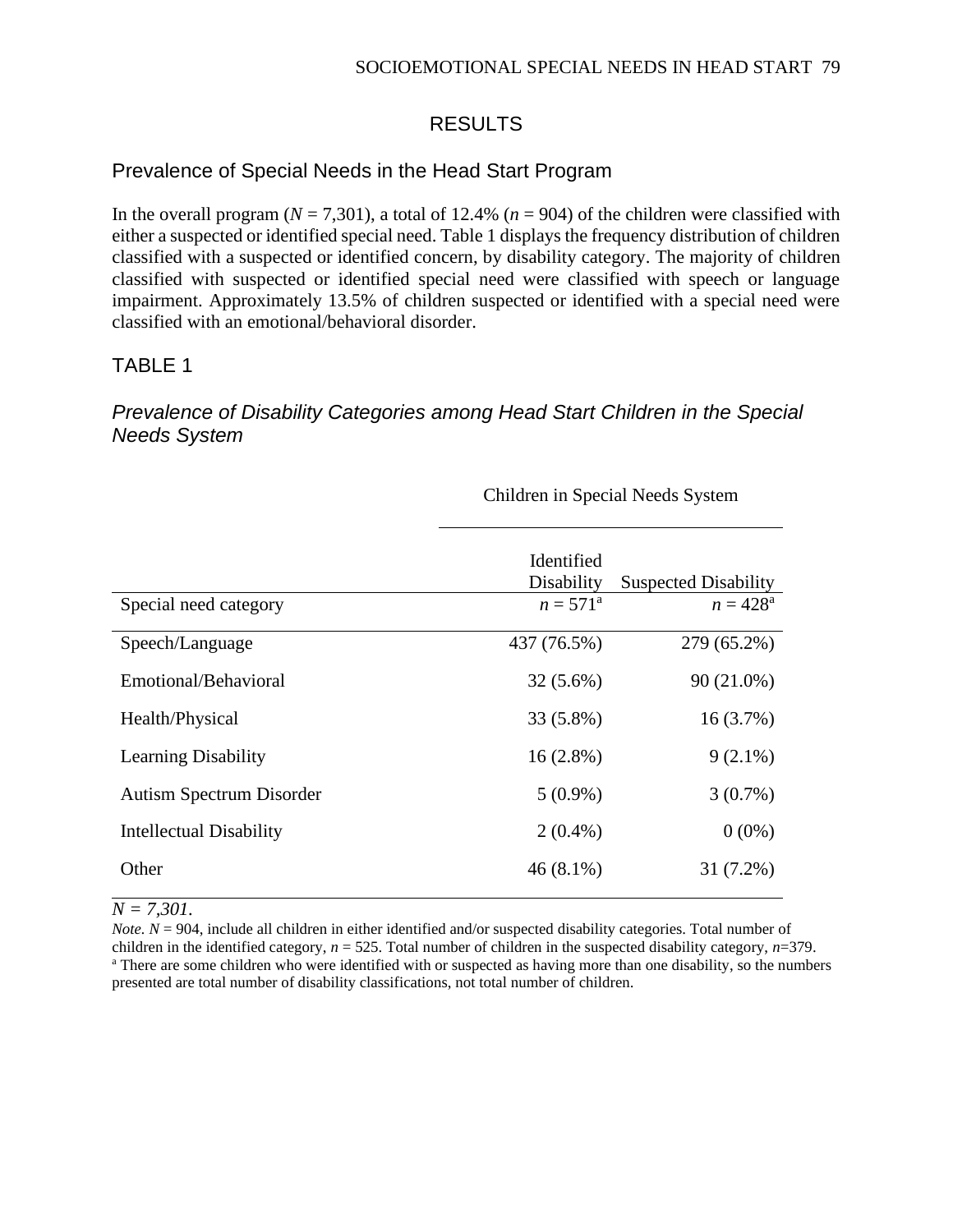## RESULTS

## Prevalence of Special Needs in the Head Start Program

In the overall program  $(N = 7,301)$ , a total of 12.4% ( $n = 904$ ) of the children were classified with either a suspected or identified special need. Table 1 displays the frequency distribution of children classified with a suspected or identified concern, by disability category. The majority of children classified with suspected or identified special need were classified with speech or language impairment. Approximately 13.5% of children suspected or identified with a special need were classified with an emotional/behavioral disorder.

## TABLE 1

## *Prevalence of Disability Categories among Head Start Children in the Special Needs System*

|                                 | Identified<br>Disability | <b>Suspected Disability</b> |
|---------------------------------|--------------------------|-----------------------------|
| Special need category           | $n = 571^{\rm a}$        | $n = 428^{\rm a}$           |
| Speech/Language                 | 437 (76.5%)              | 279 (65.2%)                 |
| Emotional/Behavioral            | $32(5.6\%)$              | 90 (21.0%)                  |
| Health/Physical                 | 33 (5.8%)                | 16(3.7%)                    |
| <b>Learning Disability</b>      | $16(2.8\%)$              | $9(2.1\%)$                  |
| <b>Autism Spectrum Disorder</b> | $5(0.9\%)$               | $3(0.7\%)$                  |
| Intellectual Disability         | $2(0.4\%)$               | $0(0\%)$                    |
| Other                           | 46 (8.1%)                | 31 (7.2%)                   |

### Children in Special Needs System

#### *N = 7,301.*

*Note.*  $N = 904$ , include all children in either identified and/or suspected disability categories. Total number of children in the identified category, *n* = 525. Total number of children in the suspected disability category, *n*=379. <sup>a</sup> There are some children who were identified with or suspected as having more than one disability, so the numbers presented are total number of disability classifications, not total number of children.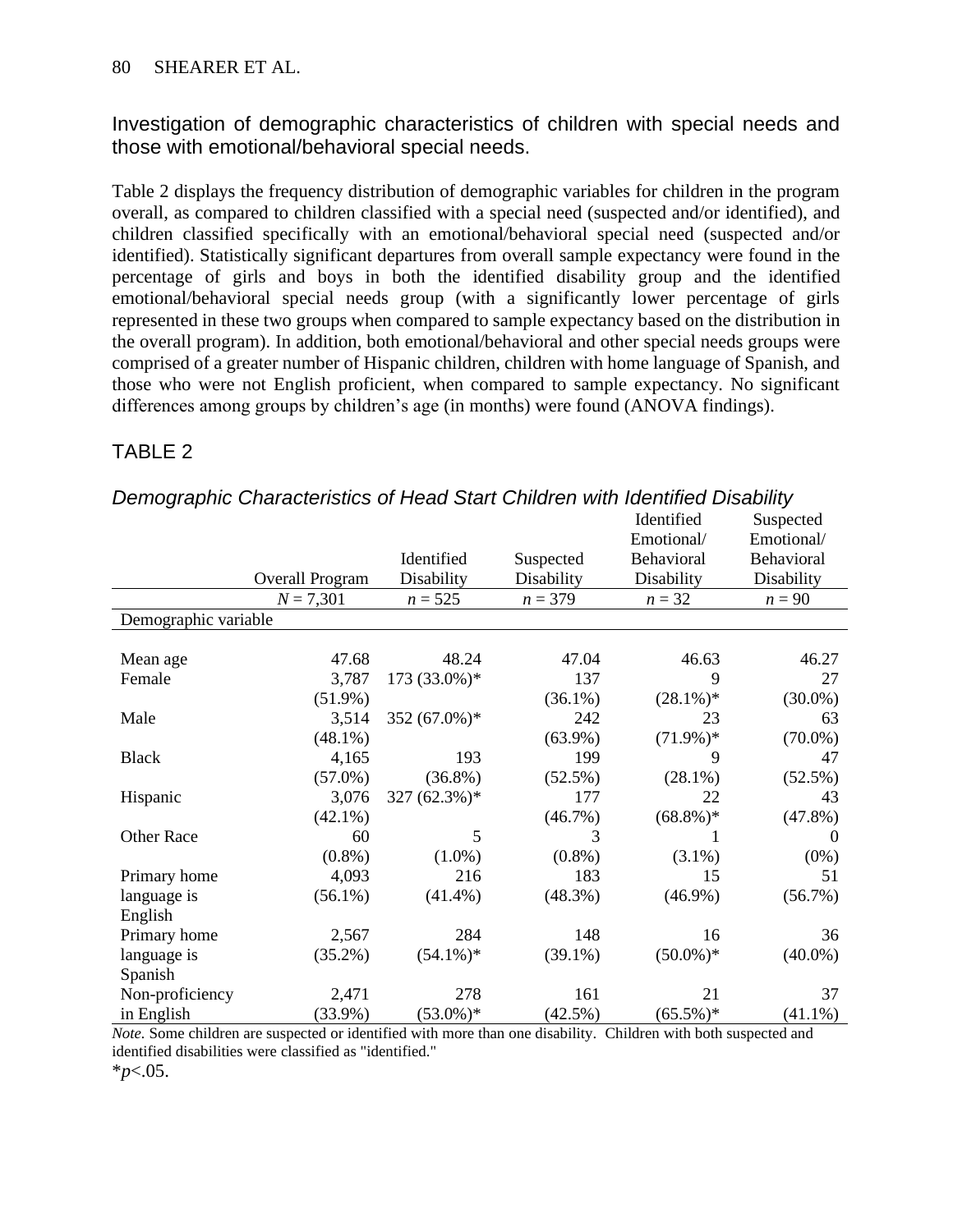Investigation of demographic characteristics of children with special needs and those with emotional/behavioral special needs.

Table 2 displays the frequency distribution of demographic variables for children in the program overall, as compared to children classified with a special need (suspected and/or identified), and children classified specifically with an emotional/behavioral special need (suspected and/or identified). Statistically significant departures from overall sample expectancy were found in the percentage of girls and boys in both the identified disability group and the identified emotional/behavioral special needs group (with a significantly lower percentage of girls represented in these two groups when compared to sample expectancy based on the distribution in the overall program). In addition, both emotional/behavioral and other special needs groups were comprised of a greater number of Hispanic children, children with home language of Spanish, and those who were not English proficient, when compared to sample expectancy. No significant differences among groups by children's age (in months) were found (ANOVA findings).

## TABLE 2

|                      |                 |                 |            | Identified  | Suspected  |  |  |
|----------------------|-----------------|-----------------|------------|-------------|------------|--|--|
|                      |                 |                 |            | Emotional/  | Emotional/ |  |  |
|                      |                 | Identified      | Suspected  | Behavioral  | Behavioral |  |  |
|                      | Overall Program | Disability      | Disability | Disability  | Disability |  |  |
|                      | $N = 7,301$     | $n = 525$       | $n = 379$  | $n = 32$    | $n = 90$   |  |  |
| Demographic variable |                 |                 |            |             |            |  |  |
|                      |                 |                 |            |             |            |  |  |
| Mean age             | 47.68           | 48.24           | 47.04      | 46.63       | 46.27      |  |  |
| Female               | 3,787           | 173 (33.0%)*    | 137        | 9           | 27         |  |  |
|                      | $(51.9\%)$      |                 | $(36.1\%)$ | $(28.1\%)*$ | $(30.0\%)$ |  |  |
| Male                 | 3,514           | 352 $(67.0\%)*$ | 242        | 23          | 63         |  |  |
|                      | $(48.1\%)$      |                 | $(63.9\%)$ | $(71.9\%)*$ | $(70.0\%)$ |  |  |
| <b>Black</b>         | 4,165           | 193             | 199        | 9           | 47         |  |  |
|                      | $(57.0\%)$      | $(36.8\%)$      | $(52.5\%)$ | $(28.1\%)$  | $(52.5\%)$ |  |  |
| Hispanic             | 3,076           | 327 $(62.3\%)*$ | 177        | 22          | 43         |  |  |
|                      | $(42.1\%)$      |                 | $(46.7\%)$ | $(68.8\%)*$ | $(47.8\%)$ |  |  |
| Other Race           | 60              | 5               | 3          | 1           | $\Omega$   |  |  |
|                      | $(0.8\%)$       | $(1.0\%)$       | $(0.8\%)$  | $(3.1\%)$   | $(0\%)$    |  |  |
| Primary home         | 4,093           | 216             | 183        | 15          | 51         |  |  |
| language is          | $(56.1\%)$      | $(41.4\%)$      | $(48.3\%)$ | $(46.9\%)$  | $(56.7\%)$ |  |  |
| English              |                 |                 |            |             |            |  |  |
| Primary home         | 2,567           | 284             | 148        | 16          | 36         |  |  |
| language is          | $(35.2\%)$      | $(54.1\%)*$     | $(39.1\%)$ | $(50.0\%)*$ | $(40.0\%)$ |  |  |
| Spanish              |                 |                 |            |             |            |  |  |
| Non-proficiency      | 2,471           | 278             | 161        | 21          | 37         |  |  |
| in English           | $(33.9\%)$      | $(53.0\%)*$     | (42.5%)    | $(65.5\%)*$ | $(41.1\%)$ |  |  |

#### *Demographic Characteristics of Head Start Children with Identified Disability*

*Note.* Some children are suspected or identified with more than one disability. Children with both suspected and identified disabilities were classified as "identified."

\**p*<.05.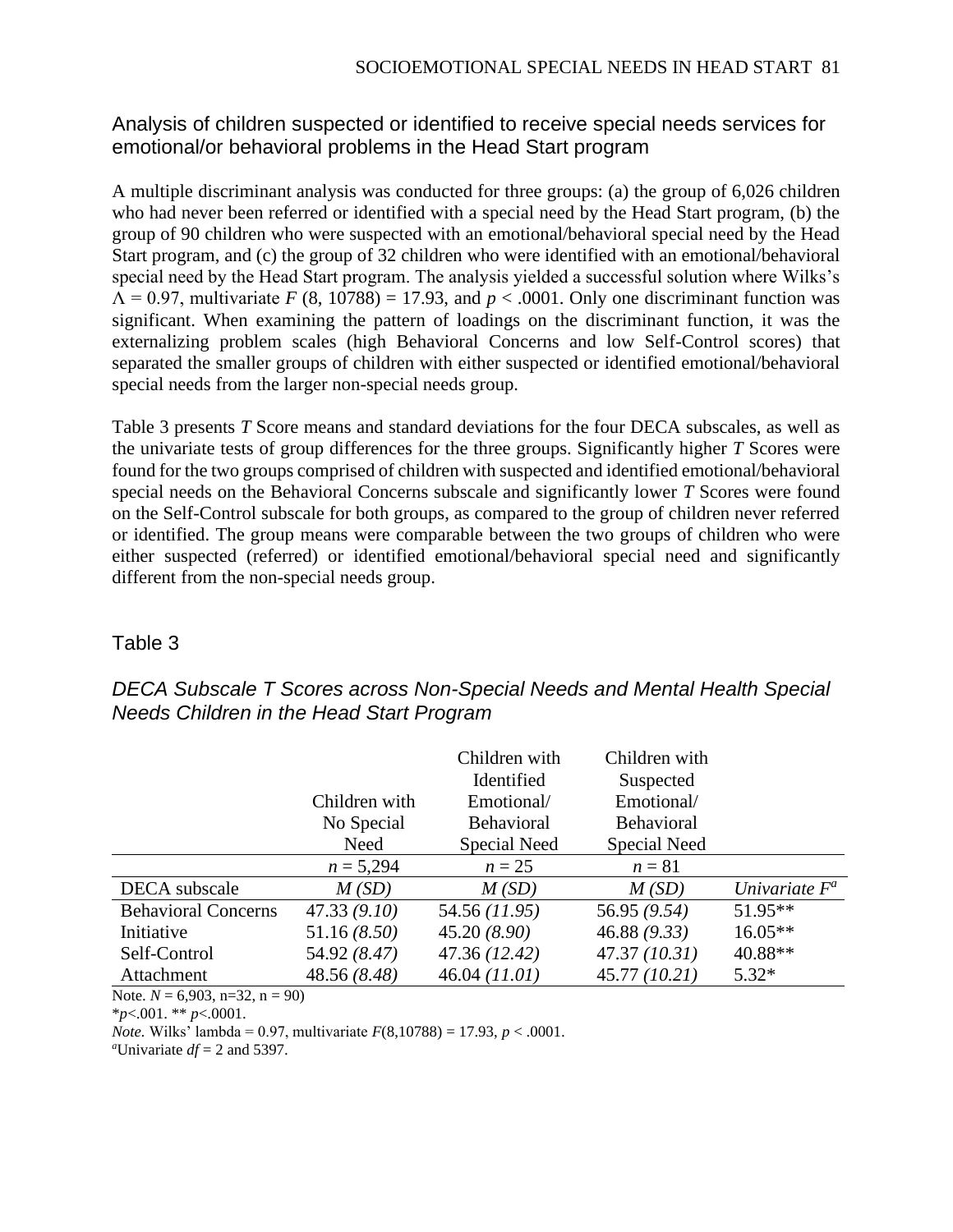## Analysis of children suspected or identified to receive special needs services for emotional/or behavioral problems in the Head Start program

A multiple discriminant analysis was conducted for three groups: (a) the group of 6,026 children who had never been referred or identified with a special need by the Head Start program, (b) the group of 90 children who were suspected with an emotional/behavioral special need by the Head Start program, and (c) the group of 32 children who were identified with an emotional/behavioral special need by the Head Start program. The analysis yielded a successful solution where Wilks's  $\Lambda$  = 0.97, multivariate *F* (8, 10788) = 17.93, and *p* < .0001. Only one discriminant function was significant. When examining the pattern of loadings on the discriminant function, it was the externalizing problem scales (high Behavioral Concerns and low Self-Control scores) that separated the smaller groups of children with either suspected or identified emotional/behavioral special needs from the larger non-special needs group.

Table 3 presents *T* Score means and standard deviations for the four DECA subscales, as well as the univariate tests of group differences for the three groups. Significantly higher *T* Scores were found for the two groups comprised of children with suspected and identified emotional/behavioral special needs on the Behavioral Concerns subscale and significantly lower *T* Scores were found on the Self-Control subscale for both groups, as compared to the group of children never referred or identified. The group means were comparable between the two groups of children who were either suspected (referred) or identified emotional/behavioral special need and significantly different from the non-special needs group.

### Table 3

|                            |               | Children with<br>Identified | Children with<br>Suspected |                  |
|----------------------------|---------------|-----------------------------|----------------------------|------------------|
|                            | Children with | Emotional/                  | Emotional/                 |                  |
|                            | No Special    | <b>Behavioral</b>           | <b>Behavioral</b>          |                  |
|                            | Need          | Special Need                | Special Need               |                  |
|                            | $n = 5,294$   | $n=25$                      | $n=81$                     |                  |
| DECA subscale              | M(SD)         | M(SD)                       | M(SD)                      | Univariate $F^a$ |
| <b>Behavioral Concerns</b> | 47.33(9.10)   | 54.56 (11.95)               | 56.95 (9.54)               | $51.95**$        |
| Initiative                 | 51.16(8.50)   | 45.20(8.90)                 | 46.88(9.33)                | $16.05**$        |
| Self-Control               | 54.92 (8.47)  | 47.36 (12.42)               | 47.37(10.31)               | 40.88**          |
| Attachment                 | 48.56 (8.48)  | 46.04 (11.01)               | 45.77 (10.21)              | $5.32*$          |

## *DECA Subscale T Scores across Non-Special Needs and Mental Health Special Needs Children in the Head Start Program*

Note.  $N = 6,903$ , n=32, n = 90)

\**p*<.001. \*\* *p*<.0001.

*Note.* Wilks' lambda = 0.97, multivariate *F*(8,10788) = 17.93, *p* < .0001.

*<sup>a</sup>*Univariate *df* = 2 and 5397.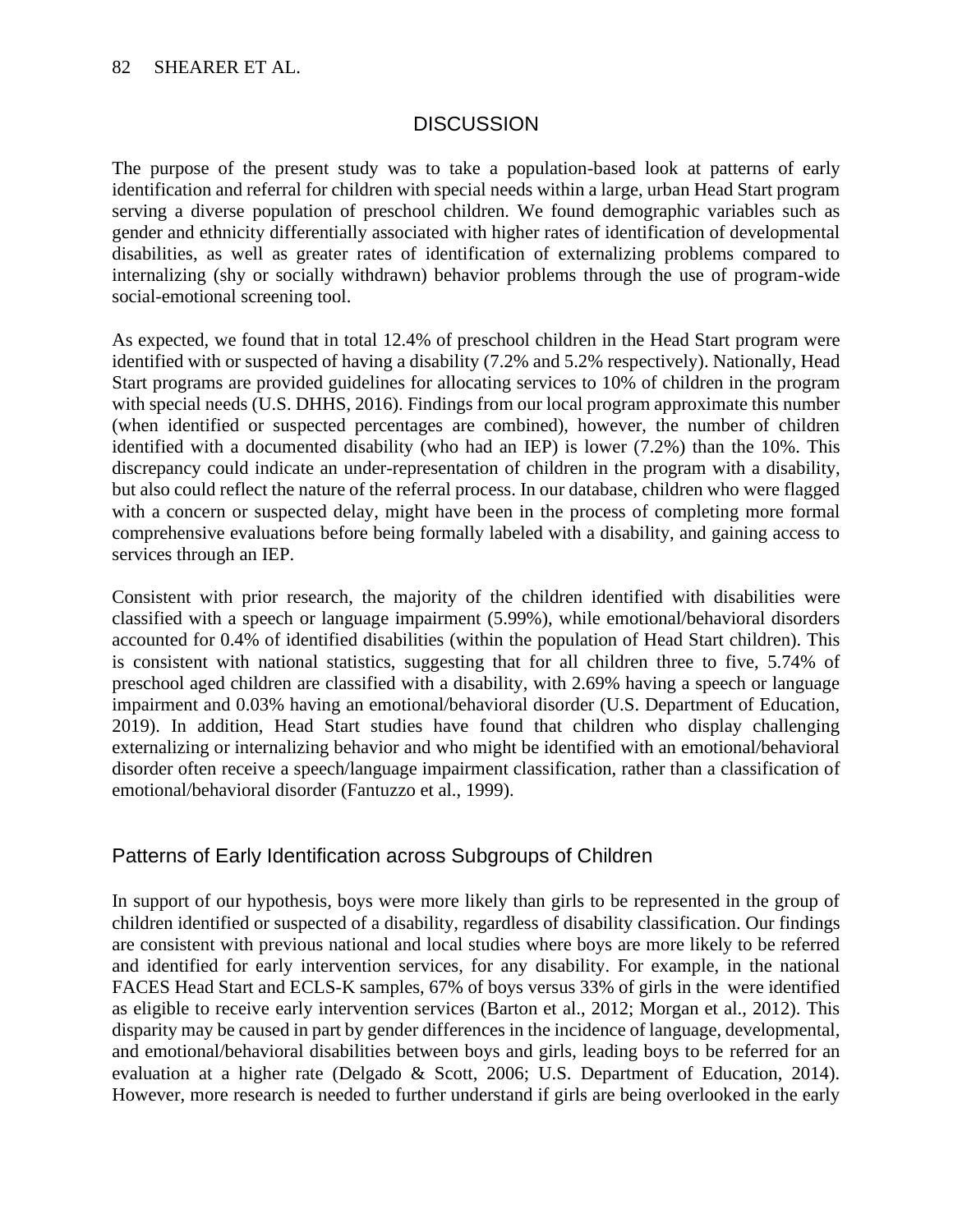### **DISCUSSION**

The purpose of the present study was to take a population-based look at patterns of early identification and referral for children with special needs within a large, urban Head Start program serving a diverse population of preschool children. We found demographic variables such as gender and ethnicity differentially associated with higher rates of identification of developmental disabilities, as well as greater rates of identification of externalizing problems compared to internalizing (shy or socially withdrawn) behavior problems through the use of program-wide social-emotional screening tool.

As expected, we found that in total 12.4% of preschool children in the Head Start program were identified with or suspected of having a disability (7.2% and 5.2% respectively). Nationally, Head Start programs are provided guidelines for allocating services to 10% of children in the program with special needs (U.S. DHHS, 2016). Findings from our local program approximate this number (when identified or suspected percentages are combined), however, the number of children identified with a documented disability (who had an IEP) is lower (7.2%) than the 10%. This discrepancy could indicate an under-representation of children in the program with a disability, but also could reflect the nature of the referral process. In our database, children who were flagged with a concern or suspected delay, might have been in the process of completing more formal comprehensive evaluations before being formally labeled with a disability, and gaining access to services through an IEP.

Consistent with prior research, the majority of the children identified with disabilities were classified with a speech or language impairment (5.99%), while emotional/behavioral disorders accounted for 0.4% of identified disabilities (within the population of Head Start children). This is consistent with national statistics, suggesting that for all children three to five, 5.74% of preschool aged children are classified with a disability, with 2.69% having a speech or language impairment and 0.03% having an emotional/behavioral disorder (U.S. Department of Education, 2019). In addition, Head Start studies have found that children who display challenging externalizing or internalizing behavior and who might be identified with an emotional/behavioral disorder often receive a speech/language impairment classification, rather than a classification of emotional/behavioral disorder (Fantuzzo et al., 1999).

### Patterns of Early Identification across Subgroups of Children

In support of our hypothesis, boys were more likely than girls to be represented in the group of children identified or suspected of a disability, regardless of disability classification. Our findings are consistent with previous national and local studies where boys are more likely to be referred and identified for early intervention services, for any disability. For example, in the national FACES Head Start and ECLS-K samples, 67% of boys versus 33% of girls in the were identified as eligible to receive early intervention services (Barton et al., 2012; Morgan et al., 2012). This disparity may be caused in part by gender differences in the incidence of language, developmental, and emotional/behavioral disabilities between boys and girls, leading boys to be referred for an evaluation at a higher rate (Delgado & Scott, 2006; U.S. Department of Education, 2014). However, more research is needed to further understand if girls are being overlooked in the early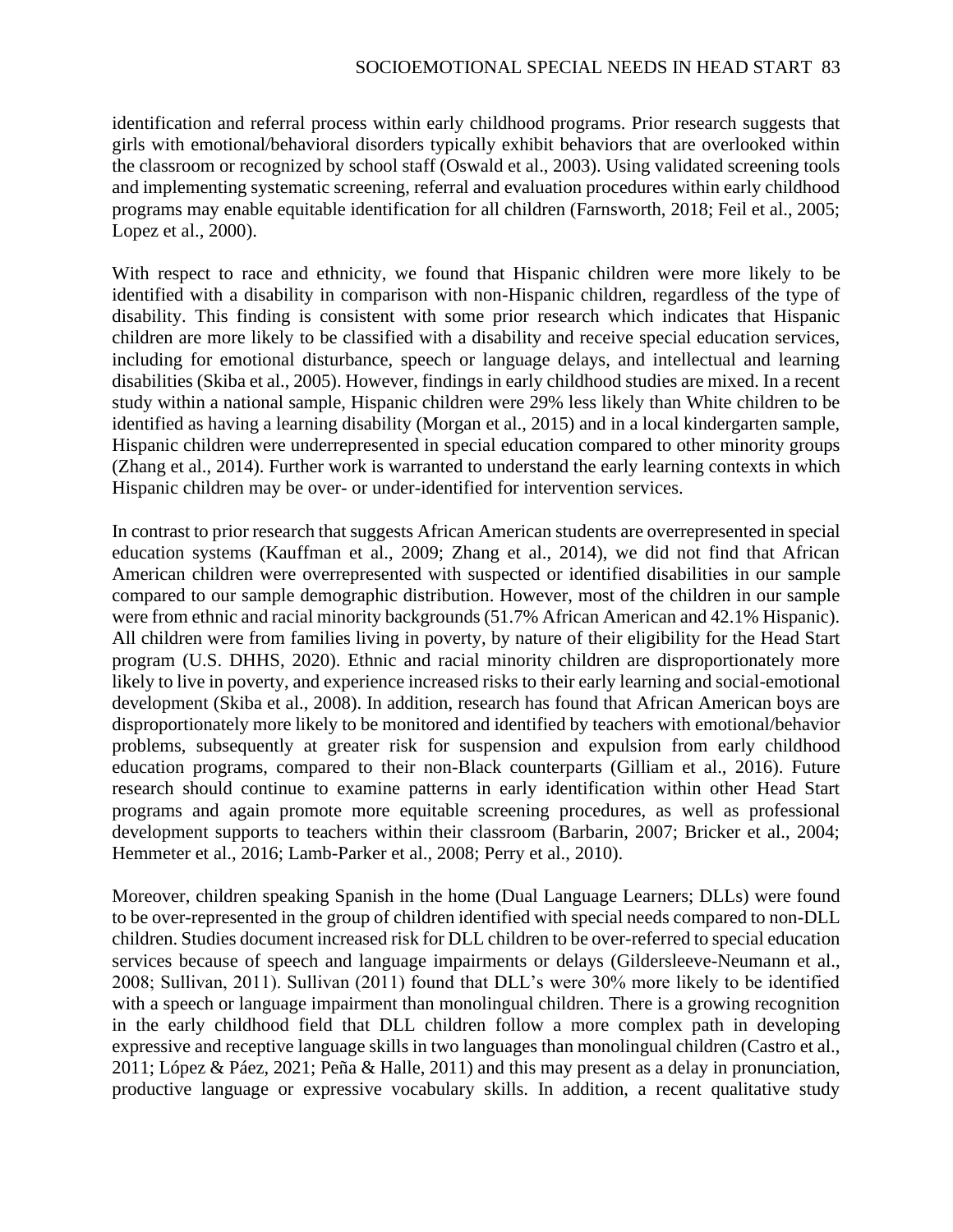identification and referral process within early childhood programs. Prior research suggests that girls with emotional/behavioral disorders typically exhibit behaviors that are overlooked within the classroom or recognized by school staff (Oswald et al., 2003). Using validated screening tools and implementing systematic screening, referral and evaluation procedures within early childhood programs may enable equitable identification for all children (Farnsworth, 2018; Feil et al., 2005; Lopez et al., 2000).

With respect to race and ethnicity, we found that Hispanic children were more likely to be identified with a disability in comparison with non-Hispanic children, regardless of the type of disability. This finding is consistent with some prior research which indicates that Hispanic children are more likely to be classified with a disability and receive special education services, including for emotional disturbance, speech or language delays, and intellectual and learning disabilities (Skiba et al., 2005). However, findings in early childhood studies are mixed. In a recent study within a national sample, Hispanic children were 29% less likely than White children to be identified as having a learning disability (Morgan et al., 2015) and in a local kindergarten sample, Hispanic children were underrepresented in special education compared to other minority groups (Zhang et al., 2014). Further work is warranted to understand the early learning contexts in which Hispanic children may be over- or under-identified for intervention services.

In contrast to prior research that suggests African American students are overrepresented in special education systems (Kauffman et al., 2009; Zhang et al., 2014), we did not find that African American children were overrepresented with suspected or identified disabilities in our sample compared to our sample demographic distribution. However, most of the children in our sample were from ethnic and racial minority backgrounds (51.7% African American and 42.1% Hispanic). All children were from families living in poverty, by nature of their eligibility for the Head Start program (U.S. DHHS, 2020). Ethnic and racial minority children are disproportionately more likely to live in poverty, and experience increased risks to their early learning and social-emotional development (Skiba et al., 2008). In addition, research has found that African American boys are disproportionately more likely to be monitored and identified by teachers with emotional/behavior problems, subsequently at greater risk for suspension and expulsion from early childhood education programs, compared to their non-Black counterparts (Gilliam et al., 2016). Future research should continue to examine patterns in early identification within other Head Start programs and again promote more equitable screening procedures, as well as professional development supports to teachers within their classroom (Barbarin, 2007; Bricker et al., 2004; Hemmeter et al., 2016; Lamb-Parker et al., 2008; Perry et al., 2010).

Moreover, children speaking Spanish in the home (Dual Language Learners; DLLs) were found to be over-represented in the group of children identified with special needs compared to non-DLL children. Studies document increased risk for DLL children to be over-referred to special education services because of speech and language impairments or delays (Gildersleeve-Neumann et al., 2008; Sullivan, 2011). Sullivan (2011) found that DLL's were 30% more likely to be identified with a speech or language impairment than monolingual children. There is a growing recognition in the early childhood field that DLL children follow a more complex path in developing expressive and receptive language skills in two languages than monolingual children (Castro et al., 2011; López & Páez, 2021; Peña & Halle, 2011) and this may present as a delay in pronunciation, productive language or expressive vocabulary skills. In addition, a recent qualitative study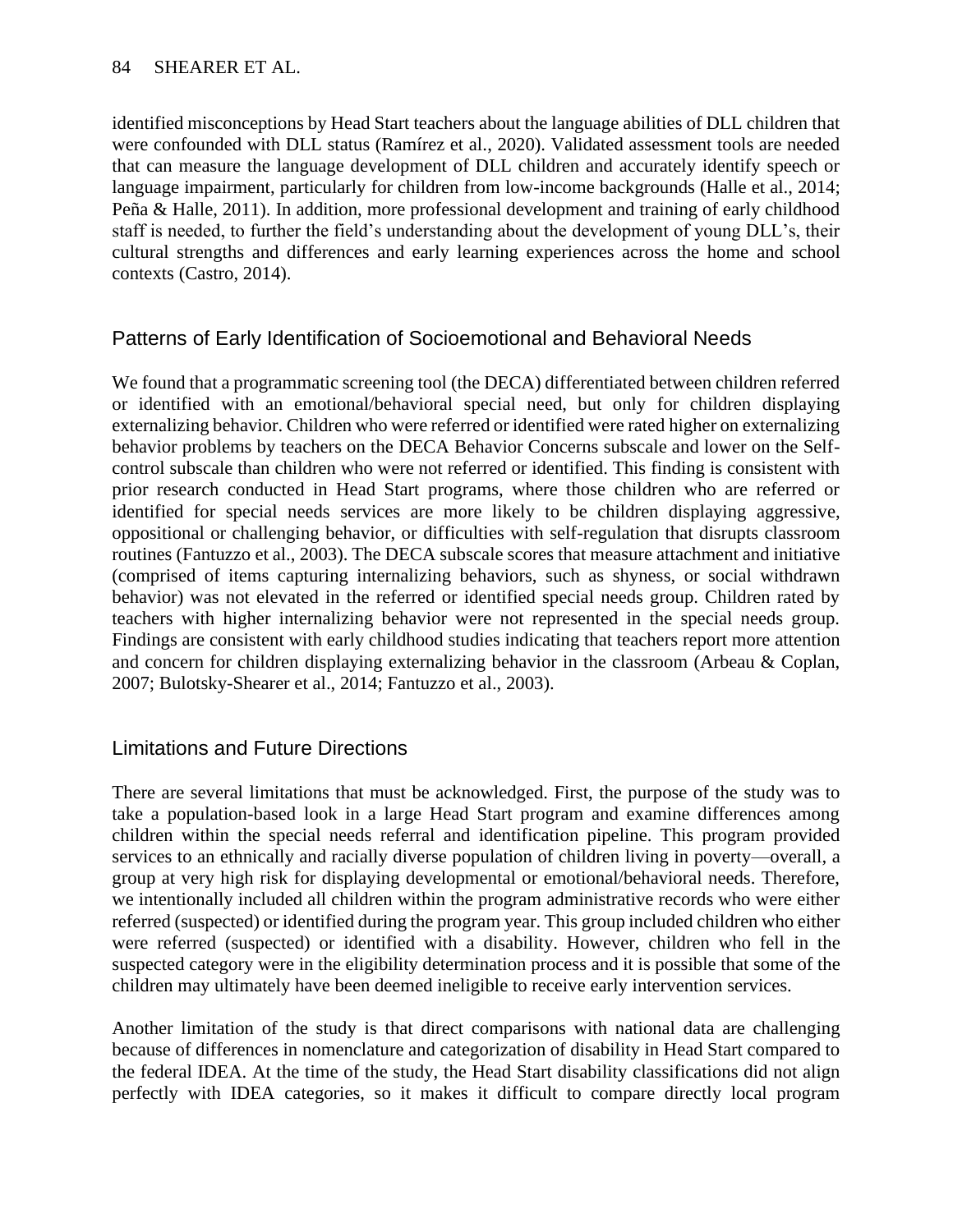identified misconceptions by Head Start teachers about the language abilities of DLL children that were confounded with DLL status (Ramírez et al., 2020). Validated assessment tools are needed that can measure the language development of DLL children and accurately identify speech or language impairment, particularly for children from low-income backgrounds (Halle et al., 2014; Peña & Halle, 2011). In addition, more professional development and training of early childhood staff is needed, to further the field's understanding about the development of young DLL's, their cultural strengths and differences and early learning experiences across the home and school contexts (Castro, 2014).

## Patterns of Early Identification of Socioemotional and Behavioral Needs

We found that a programmatic screening tool (the DECA) differentiated between children referred or identified with an emotional/behavioral special need, but only for children displaying externalizing behavior. Children who were referred or identified were rated higher on externalizing behavior problems by teachers on the DECA Behavior Concerns subscale and lower on the Selfcontrol subscale than children who were not referred or identified. This finding is consistent with prior research conducted in Head Start programs, where those children who are referred or identified for special needs services are more likely to be children displaying aggressive, oppositional or challenging behavior, or difficulties with self-regulation that disrupts classroom routines (Fantuzzo et al., 2003). The DECA subscale scores that measure attachment and initiative (comprised of items capturing internalizing behaviors, such as shyness, or social withdrawn behavior) was not elevated in the referred or identified special needs group. Children rated by teachers with higher internalizing behavior were not represented in the special needs group. Findings are consistent with early childhood studies indicating that teachers report more attention and concern for children displaying externalizing behavior in the classroom (Arbeau & Coplan, 2007; Bulotsky-Shearer et al., 2014; Fantuzzo et al., 2003).

### Limitations and Future Directions

There are several limitations that must be acknowledged. First, the purpose of the study was to take a population-based look in a large Head Start program and examine differences among children within the special needs referral and identification pipeline. This program provided services to an ethnically and racially diverse population of children living in poverty—overall, a group at very high risk for displaying developmental or emotional/behavioral needs. Therefore, we intentionally included all children within the program administrative records who were either referred (suspected) or identified during the program year. This group included children who either were referred (suspected) or identified with a disability. However, children who fell in the suspected category were in the eligibility determination process and it is possible that some of the children may ultimately have been deemed ineligible to receive early intervention services.

Another limitation of the study is that direct comparisons with national data are challenging because of differences in nomenclature and categorization of disability in Head Start compared to the federal IDEA. At the time of the study, the Head Start disability classifications did not align perfectly with IDEA categories, so it makes it difficult to compare directly local program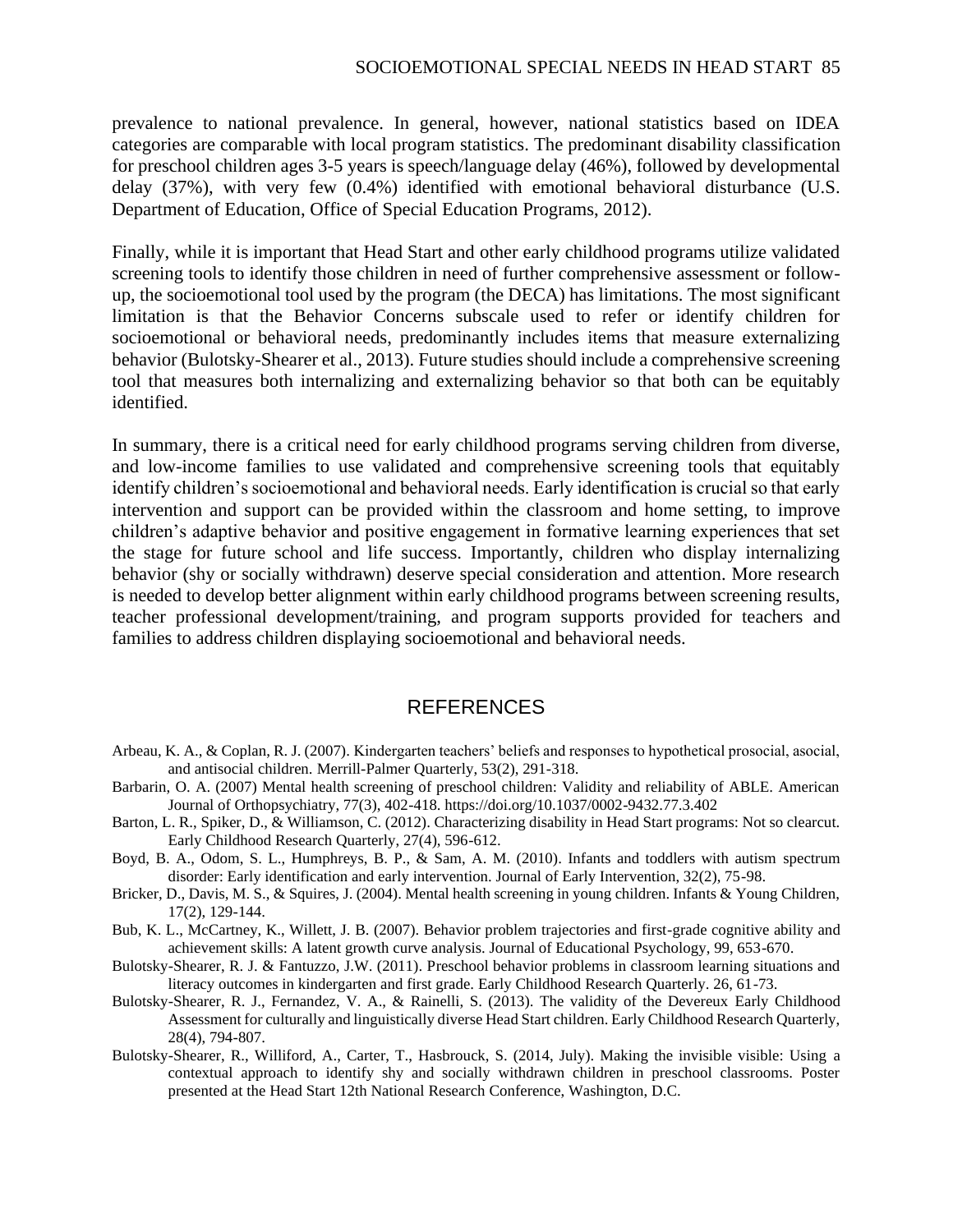prevalence to national prevalence. In general, however, national statistics based on IDEA categories are comparable with local program statistics. The predominant disability classification for preschool children ages 3-5 years is speech/language delay (46%), followed by developmental delay (37%), with very few (0.4%) identified with emotional behavioral disturbance (U.S. Department of Education, Office of Special Education Programs, 2012).

Finally, while it is important that Head Start and other early childhood programs utilize validated screening tools to identify those children in need of further comprehensive assessment or followup, the socioemotional tool used by the program (the DECA) has limitations. The most significant limitation is that the Behavior Concerns subscale used to refer or identify children for socioemotional or behavioral needs, predominantly includes items that measure externalizing behavior (Bulotsky-Shearer et al., 2013). Future studies should include a comprehensive screening tool that measures both internalizing and externalizing behavior so that both can be equitably identified.

In summary, there is a critical need for early childhood programs serving children from diverse, and low-income families to use validated and comprehensive screening tools that equitably identify children's socioemotional and behavioral needs. Early identification is crucial so that early intervention and support can be provided within the classroom and home setting, to improve children's adaptive behavior and positive engagement in formative learning experiences that set the stage for future school and life success. Importantly, children who display internalizing behavior (shy or socially withdrawn) deserve special consideration and attention. More research is needed to develop better alignment within early childhood programs between screening results, teacher professional development/training, and program supports provided for teachers and families to address children displaying socioemotional and behavioral needs.

#### REFERENCES

- Arbeau, K. A., & Coplan, R. J. (2007). Kindergarten teachers' beliefs and responses to hypothetical prosocial, asocial, and antisocial children. Merrill-Palmer Quarterly, 53(2), 291-318.
- Barbarin, O. A. (2007) Mental health screening of preschool children: Validity and reliability of ABLE. American Journal of Orthopsychiatry, 77(3), 402-418. https://doi.org/10.1037/0002-9432.77.3.402
- Barton, L. R., Spiker, D., & Williamson, C. (2012). Characterizing disability in Head Start programs: Not so clearcut. Early Childhood Research Quarterly, 27(4), 596-612.
- Boyd, B. A., Odom, S. L., Humphreys, B. P., & Sam, A. M. (2010). Infants and toddlers with autism spectrum disorder: Early identification and early intervention. Journal of Early Intervention, 32(2), 75-98.
- Bricker, D., Davis, M. S., & Squires, J. (2004). Mental health screening in young children. Infants & Young Children, 17(2), 129-144.
- Bub, K. L., McCartney, K., Willett, J. B. (2007). Behavior problem trajectories and first-grade cognitive ability and achievement skills: A latent growth curve analysis. Journal of Educational Psychology, 99, 653-670.
- Bulotsky-Shearer, R. J. & Fantuzzo, J.W. (2011). Preschool behavior problems in classroom learning situations and literacy outcomes in kindergarten and first grade. Early Childhood Research Quarterly. 26, 61-73.
- Bulotsky-Shearer, R. J., Fernandez, V. A., & Rainelli, S. (2013). The validity of the Devereux Early Childhood Assessment for culturally and linguistically diverse Head Start children. Early Childhood Research Quarterly, 28(4), 794-807.
- Bulotsky-Shearer, R., Williford, A., Carter, T., Hasbrouck, S. (2014, July). Making the invisible visible: Using a contextual approach to identify shy and socially withdrawn children in preschool classrooms. Poster presented at the Head Start 12th National Research Conference, Washington, D.C.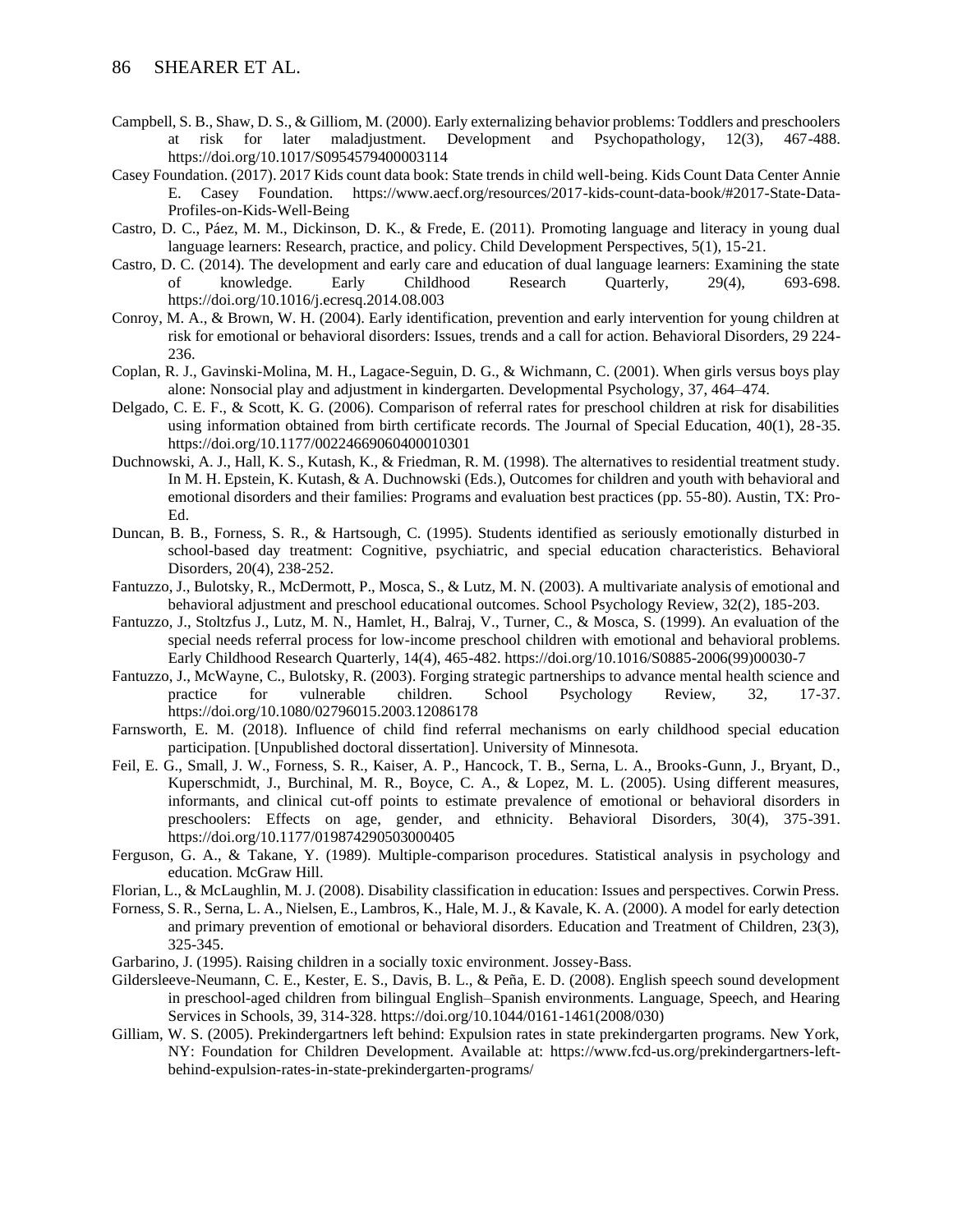- Campbell, S. B., Shaw, D. S., & Gilliom, M. (2000). Early externalizing behavior problems: Toddlers and preschoolers at risk for later maladjustment. Development and Psychopathology, 12(3), 467-488. https://doi.org/10.1017/S0954579400003114
- Casey Foundation. (2017). 2017 Kids count data book: State trends in child well-being. Kids Count Data Center Annie E. Casey Foundation. https://www.aecf.org/resources/2017-kids-count-data-book/#2017-State-Data-Profiles-on-Kids-Well-Being
- Castro, D. C., Páez, M. M., Dickinson, D. K., & Frede, E. (2011). Promoting language and literacy in young dual language learners: Research, practice, and policy. Child Development Perspectives, 5(1), 15-21.
- Castro, D. C. (2014). The development and early care and education of dual language learners: Examining the state of knowledge. Early Childhood Research Quarterly, 29(4), 693-698. https://doi.org/10.1016/j.ecresq.2014.08.003
- Conroy, M. A., & Brown, W. H. (2004). Early identification, prevention and early intervention for young children at risk for emotional or behavioral disorders: Issues, trends and a call for action. Behavioral Disorders, 29 224- 236.
- Coplan, R. J., Gavinski-Molina, M. H., Lagace-Seguin, D. G., & Wichmann, C. (2001). When girls versus boys play alone: Nonsocial play and adjustment in kindergarten. Developmental Psychology, 37, 464–474.
- Delgado, C. E. F., & Scott, K. G. (2006). Comparison of referral rates for preschool children at risk for disabilities using information obtained from birth certificate records. The Journal of Special Education, 40(1), 28-35. https://doi.org/10.1177/00224669060400010301
- Duchnowski, A. J., Hall, K. S., Kutash, K., & Friedman, R. M. (1998). The alternatives to residential treatment study. In M. H. Epstein, K. Kutash, & A. Duchnowski (Eds.), Outcomes for children and youth with behavioral and emotional disorders and their families: Programs and evaluation best practices (pp. 55-80). Austin, TX: Pro-Ed.
- Duncan, B. B., Forness, S. R., & Hartsough, C. (1995). Students identified as seriously emotionally disturbed in school-based day treatment: Cognitive, psychiatric, and special education characteristics. Behavioral Disorders, 20(4), 238-252.
- Fantuzzo, J., Bulotsky, R., McDermott, P., Mosca, S., & Lutz, M. N. (2003). A multivariate analysis of emotional and behavioral adjustment and preschool educational outcomes. School Psychology Review, 32(2), 185-203.
- Fantuzzo, J., Stoltzfus J., Lutz, M. N., Hamlet, H., Balraj, V., Turner, C., & Mosca, S. (1999). An evaluation of the special needs referral process for low-income preschool children with emotional and behavioral problems. Early Childhood Research Quarterly, 14(4), 465-482. https://doi.org/10.1016/S0885-2006(99)00030-7
- Fantuzzo, J., McWayne, C., Bulotsky, R. (2003). Forging strategic partnerships to advance mental health science and practice for vulnerable children. School Psychology Review, 32, 17-37. https://doi.org/10.1080/02796015.2003.12086178
- Farnsworth, E. M. (2018). Influence of child find referral mechanisms on early childhood special education participation. [Unpublished doctoral dissertation]. University of Minnesota.
- Feil, E. G., Small, J. W., Forness, S. R., Kaiser, A. P., Hancock, T. B., Serna, L. A., Brooks-Gunn, J., Bryant, D., Kuperschmidt, J., Burchinal, M. R., Boyce, C. A., & Lopez, M. L. (2005). Using different measures, informants, and clinical cut-off points to estimate prevalence of emotional or behavioral disorders in preschoolers: Effects on age, gender, and ethnicity. Behavioral Disorders, 30(4), 375-391. https://doi.org/10.1177/019874290503000405
- Ferguson, G. A., & Takane, Y. (1989). Multiple-comparison procedures. Statistical analysis in psychology and education. McGraw Hill.
- Florian, L., & McLaughlin, M. J. (2008). Disability classification in education: Issues and perspectives. Corwin Press.
- Forness, S. R., Serna, L. A., Nielsen, E., Lambros, K., Hale, M. J., & Kavale, K. A. (2000). A model for early detection and primary prevention of emotional or behavioral disorders. Education and Treatment of Children, 23(3), 325-345.
- Garbarino, J. (1995). Raising children in a socially toxic environment. Jossey-Bass.
- Gildersleeve-Neumann, C. E., Kester, E. S., Davis, B. L., & Peña, E. D. (2008). English speech sound development in preschool-aged children from bilingual English–Spanish environments. Language, Speech, and Hearing Services in Schools, 39, 314-328. https://doi.org/10.1044/0161-1461(2008/030)
- Gilliam, W. S. (2005). Prekindergartners left behind: Expulsion rates in state prekindergarten programs. New York, NY: Foundation for Children Development. Available at: https://www.fcd-us.org/prekindergartners-leftbehind-expulsion-rates-in-state-prekindergarten-programs/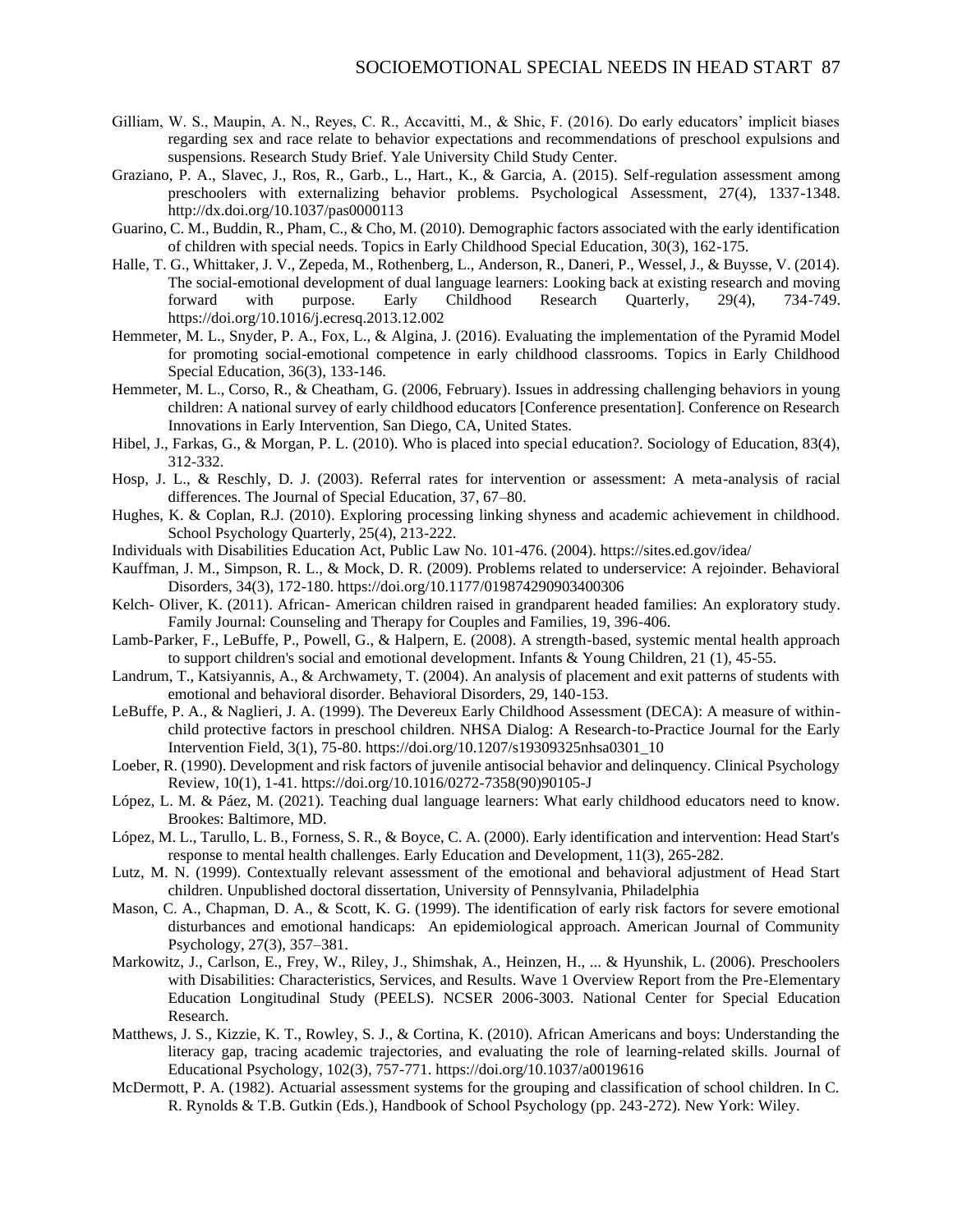- Gilliam, W. S., Maupin, A. N., Reyes, C. R., Accavitti, M., & Shic, F. (2016). Do early educators' implicit biases regarding sex and race relate to behavior expectations and recommendations of preschool expulsions and suspensions. Research Study Brief. Yale University Child Study Center.
- Graziano, P. A., Slavec, J., Ros, R., Garb., L., Hart., K., & Garcia, A. (2015). Self-regulation assessment among preschoolers with externalizing behavior problems. Psychological Assessment, 27(4), 1337-1348. http://dx.doi.org/10.1037/pas0000113
- Guarino, C. M., Buddin, R., Pham, C., & Cho, M. (2010). Demographic factors associated with the early identification of children with special needs. Topics in Early Childhood Special Education, 30(3), 162-175.
- Halle, T. G., Whittaker, J. V., Zepeda, M., Rothenberg, L., Anderson, R., Daneri, P., Wessel, J., & Buysse, V. (2014). The social-emotional development of dual language learners: Looking back at existing research and moving forward with purpose. Early Childhood Research Quarterly, 29(4), 734-749. https://doi.org/10.1016/j.ecresq.2013.12.002
- Hemmeter, M. L., Snyder, P. A., Fox, L., & Algina, J. (2016). Evaluating the implementation of the Pyramid Model for promoting social-emotional competence in early childhood classrooms. Topics in Early Childhood Special Education, 36(3), 133-146.
- Hemmeter, M. L., Corso, R., & Cheatham, G. (2006, February). Issues in addressing challenging behaviors in young children: A national survey of early childhood educators [Conference presentation]. Conference on Research Innovations in Early Intervention, San Diego, CA, United States.
- Hibel, J., Farkas, G., & Morgan, P. L. (2010). Who is placed into special education?. Sociology of Education, 83(4), 312-332.
- Hosp, J. L., & Reschly, D. J. (2003). Referral rates for intervention or assessment: A meta-analysis of racial differences. The Journal of Special Education, 37, 67–80.
- Hughes, K. & Coplan, R.J. (2010). Exploring processing linking shyness and academic achievement in childhood. School Psychology Quarterly, 25(4), 213-222.
- Individuals with Disabilities Education Act, Public Law No. 101-476. (2004). https://sites.ed.gov/idea/
- Kauffman, J. M., Simpson, R. L., & Mock, D. R. (2009). Problems related to underservice: A rejoinder. Behavioral Disorders, 34(3), 172-180. https://doi.org/10.1177/019874290903400306
- Kelch- Oliver, K. (2011). African- American children raised in grandparent headed families: An exploratory study. Family Journal: Counseling and Therapy for Couples and Families, 19, 396-406.
- Lamb-Parker, F., LeBuffe, P., Powell, G., & Halpern, E. (2008). A strength-based, systemic mental health approach to support children's social and emotional development. Infants & Young Children, 21 (1), 45-55.
- Landrum, T., Katsiyannis, A., & Archwamety, T. (2004). An analysis of placement and exit patterns of students with emotional and behavioral disorder. Behavioral Disorders, 29, 140-153.
- LeBuffe, P. A., & Naglieri, J. A. (1999). The Devereux Early Childhood Assessment (DECA): A measure of withinchild protective factors in preschool children. NHSA Dialog: A Research-to-Practice Journal for the Early Intervention Field, 3(1), 75-80. https://doi.org/10.1207/s19309325nhsa0301\_10
- Loeber, R. (1990). Development and risk factors of juvenile antisocial behavior and delinquency. Clinical Psychology Review, 10(1), 1-41. https://doi.org/10.1016/0272-7358(90)90105-J
- López, L. M. & Páez, M. (2021). Teaching dual language learners: What early childhood educators need to know. Brookes: Baltimore, MD.
- López, M. L., Tarullo, L. B., Forness, S. R., & Boyce, C. A. (2000). Early identification and intervention: Head Start's response to mental health challenges. Early Education and Development, 11(3), 265-282.
- Lutz, M. N. (1999). Contextually relevant assessment of the emotional and behavioral adjustment of Head Start children. Unpublished doctoral dissertation, University of Pennsylvania, Philadelphia
- Mason, C. A., Chapman, D. A., & Scott, K. G. (1999). The identification of early risk factors for severe emotional disturbances and emotional handicaps: An epidemiological approach. American Journal of Community Psychology, 27(3), 357–381.
- Markowitz, J., Carlson, E., Frey, W., Riley, J., Shimshak, A., Heinzen, H., ... & Hyunshik, L. (2006). Preschoolers with Disabilities: Characteristics, Services, and Results. Wave 1 Overview Report from the Pre-Elementary Education Longitudinal Study (PEELS). NCSER 2006-3003. National Center for Special Education Research.
- Matthews, J. S., Kizzie, K. T., Rowley, S. J., & Cortina, K. (2010). African Americans and boys: Understanding the literacy gap, tracing academic trajectories, and evaluating the role of learning-related skills. Journal of Educational Psychology, 102(3), 757-771. https://doi.org/10.1037/a0019616
- McDermott, P. A. (1982). Actuarial assessment systems for the grouping and classification of school children. In C. R. Rynolds & T.B. Gutkin (Eds.), Handbook of School Psychology (pp. 243-272). New York: Wiley.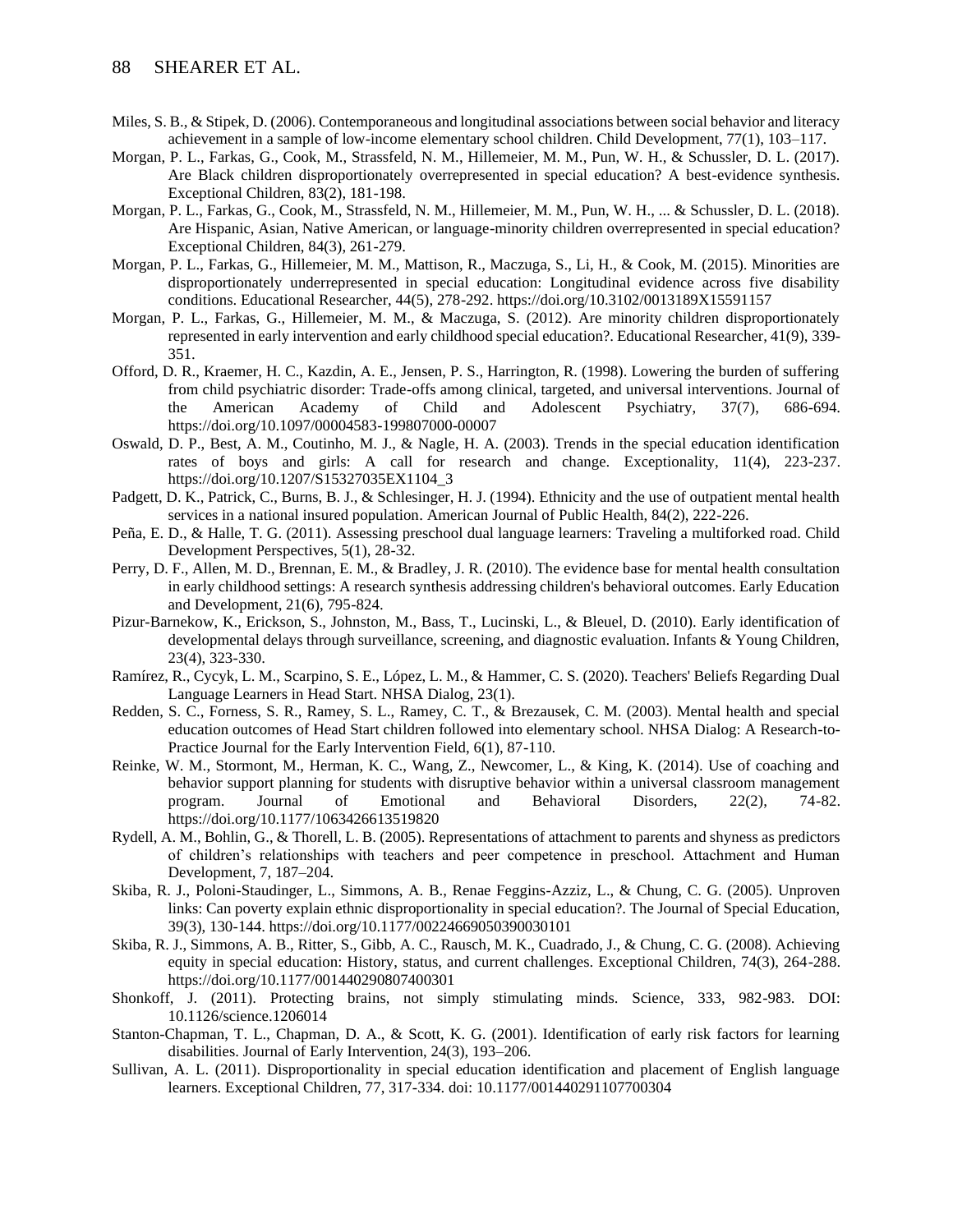- Miles, S. B., & Stipek, D. (2006). Contemporaneous and longitudinal associations between social behavior and literacy achievement in a sample of low-income elementary school children. Child Development, 77(1), 103–117.
- Morgan, P. L., Farkas, G., Cook, M., Strassfeld, N. M., Hillemeier, M. M., Pun, W. H., & Schussler, D. L. (2017). Are Black children disproportionately overrepresented in special education? A best-evidence synthesis. Exceptional Children, 83(2), 181-198.
- Morgan, P. L., Farkas, G., Cook, M., Strassfeld, N. M., Hillemeier, M. M., Pun, W. H., ... & Schussler, D. L. (2018). Are Hispanic, Asian, Native American, or language-minority children overrepresented in special education? Exceptional Children, 84(3), 261-279.
- Morgan, P. L., Farkas, G., Hillemeier, M. M., Mattison, R., Maczuga, S., Li, H., & Cook, M. (2015). Minorities are disproportionately underrepresented in special education: Longitudinal evidence across five disability conditions. Educational Researcher, 44(5), 278-292. https://doi.org/10.3102/0013189X15591157
- Morgan, P. L., Farkas, G., Hillemeier, M. M., & Maczuga, S. (2012). Are minority children disproportionately represented in early intervention and early childhood special education?. Educational Researcher, 41(9), 339- 351.
- Offord, D. R., Kraemer, H. C., Kazdin, A. E., Jensen, P. S., Harrington, R. (1998). Lowering the burden of suffering from child psychiatric disorder: Trade-offs among clinical, targeted, and universal interventions. Journal of the American Academy of Child and Adolescent Psychiatry, 37(7), 686-694. https://doi.org/10.1097/00004583-199807000-00007
- Oswald, D. P., Best, A. M., Coutinho, M. J., & Nagle, H. A. (2003). Trends in the special education identification rates of boys and girls: A call for research and change. Exceptionality, 11(4), 223-237. https://doi.org/10.1207/S15327035EX1104\_3
- Padgett, D. K., Patrick, C., Burns, B. J., & Schlesinger, H. J. (1994). Ethnicity and the use of outpatient mental health services in a national insured population. American Journal of Public Health, 84(2), 222-226.
- Peña, E. D., & Halle, T. G. (2011). Assessing preschool dual language learners: Traveling a multiforked road. Child Development Perspectives, 5(1), 28-32.
- Perry, D. F., Allen, M. D., Brennan, E. M., & Bradley, J. R. (2010). The evidence base for mental health consultation in early childhood settings: A research synthesis addressing children's behavioral outcomes. Early Education and Development, 21(6), 795-824.
- Pizur-Barnekow, K., Erickson, S., Johnston, M., Bass, T., Lucinski, L., & Bleuel, D. (2010). Early identification of developmental delays through surveillance, screening, and diagnostic evaluation. Infants & Young Children, 23(4), 323-330.
- Ramírez, R., Cycyk, L. M., Scarpino, S. E., López, L. M., & Hammer, C. S. (2020). Teachers' Beliefs Regarding Dual Language Learners in Head Start. NHSA Dialog, 23(1).
- Redden, S. C., Forness, S. R., Ramey, S. L., Ramey, C. T., & Brezausek, C. M. (2003). Mental health and special education outcomes of Head Start children followed into elementary school. NHSA Dialog: A Research-to-Practice Journal for the Early Intervention Field, 6(1), 87-110.
- Reinke, W. M., Stormont, M., Herman, K. C., Wang, Z., Newcomer, L., & King, K. (2014). Use of coaching and behavior support planning for students with disruptive behavior within a universal classroom management program. Journal of Emotional and Behavioral Disorders, 22(2), 74-82. https://doi.org/10.1177/1063426613519820
- Rydell, A. M., Bohlin, G., & Thorell, L. B. (2005). Representations of attachment to parents and shyness as predictors of children's relationships with teachers and peer competence in preschool. Attachment and Human Development, 7, 187–204.
- Skiba, R. J., Poloni-Staudinger, L., Simmons, A. B., Renae Feggins-Azziz, L., & Chung, C. G. (2005). Unproven links: Can poverty explain ethnic disproportionality in special education?. The Journal of Special Education, 39(3), 130-144. https://doi.org/10.1177/00224669050390030101
- Skiba, R. J., Simmons, A. B., Ritter, S., Gibb, A. C., Rausch, M. K., Cuadrado, J., & Chung, C. G. (2008). Achieving equity in special education: History, status, and current challenges. Exceptional Children, 74(3), 264-288. https://doi.org/10.1177/001440290807400301
- Shonkoff, J. (2011). Protecting brains, not simply stimulating minds. Science, 333, 982-983. DOI: 10.1126/science.1206014
- Stanton-Chapman, T. L., Chapman, D. A., & Scott, K. G. (2001). Identification of early risk factors for learning disabilities. Journal of Early Intervention, 24(3), 193–206.
- Sullivan, A. L. (2011). Disproportionality in special education identification and placement of English language learners. Exceptional Children, 77, 317-334. doi: 10.1177/001440291107700304